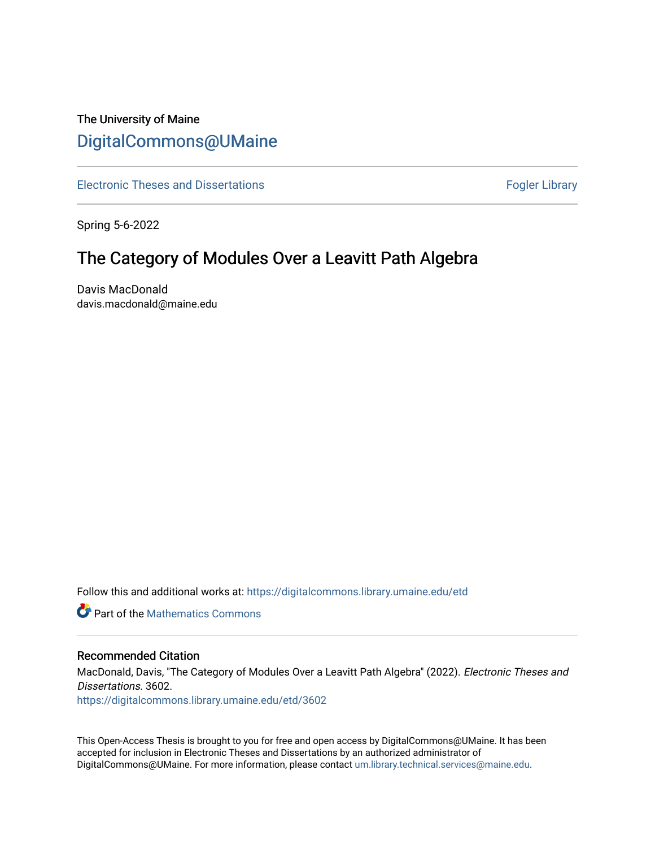# The University of Maine [DigitalCommons@UMaine](https://digitalcommons.library.umaine.edu/)

[Electronic Theses and Dissertations](https://digitalcommons.library.umaine.edu/etd) **Fogler Library** Fogler Library

Spring 5-6-2022

# The Category of Modules Over a Leavitt Path Algebra

Davis MacDonald davis.macdonald@maine.edu

Follow this and additional works at: [https://digitalcommons.library.umaine.edu/etd](https://digitalcommons.library.umaine.edu/etd?utm_source=digitalcommons.library.umaine.edu%2Fetd%2F3602&utm_medium=PDF&utm_campaign=PDFCoverPages) 

**C** Part of the [Mathematics Commons](https://network.bepress.com/hgg/discipline/174?utm_source=digitalcommons.library.umaine.edu%2Fetd%2F3602&utm_medium=PDF&utm_campaign=PDFCoverPages)

## Recommended Citation

MacDonald, Davis, "The Category of Modules Over a Leavitt Path Algebra" (2022). Electronic Theses and Dissertations. 3602.

[https://digitalcommons.library.umaine.edu/etd/3602](https://digitalcommons.library.umaine.edu/etd/3602?utm_source=digitalcommons.library.umaine.edu%2Fetd%2F3602&utm_medium=PDF&utm_campaign=PDFCoverPages)

This Open-Access Thesis is brought to you for free and open access by DigitalCommons@UMaine. It has been accepted for inclusion in Electronic Theses and Dissertations by an authorized administrator of DigitalCommons@UMaine. For more information, please contact [um.library.technical.services@maine.edu](mailto:um.library.technical.services@maine.edu).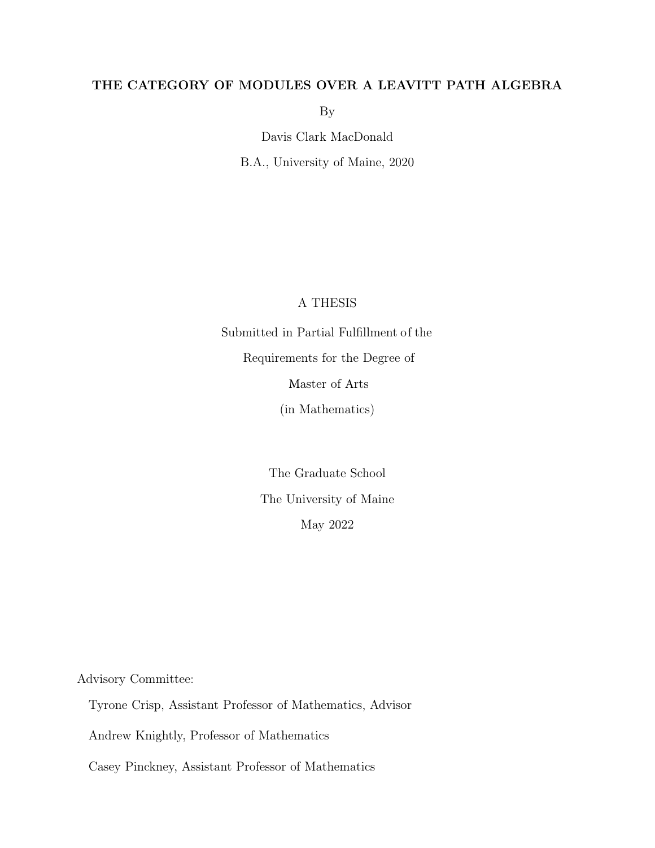## THE CATEGORY OF MODULES OVER A LEAVITT PATH ALGEBRA

By

Davis Clark MacDonald

B.A., University of Maine, 2020

## A THESIS

Submitted in Partial Fulfillment of the Requirements for the Degree of Master of Arts

(in Mathematics)

The Graduate School The University of Maine May 2022

Advisory Committee:

Tyrone Crisp, Assistant Professor of Mathematics, Advisor

Andrew Knightly, Professor of Mathematics

Casey Pinckney, Assistant Professor of Mathematics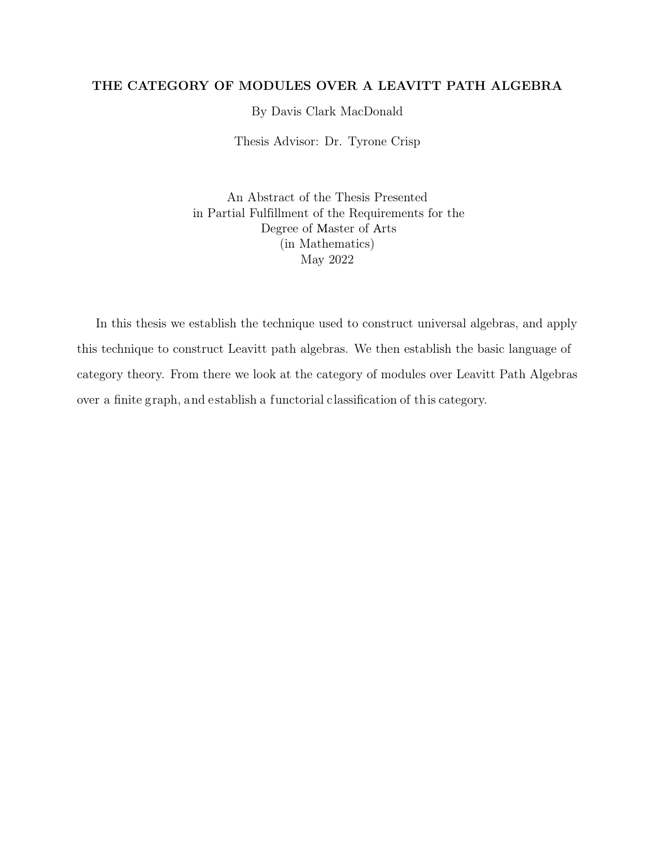## THE CATEGORY OF MODULES OVER A LEAVITT PATH ALGEBRA

By Davis Clark MacDonald

Thesis Advisor: Dr. Tyrone Crisp

An Abstract of the Thesis Presented in Partial Fulfillment of the Requirements for the Degree of Master of Arts (in Mathematics) May 2022

In this thesis we establish the technique used to construct universal algebras, and apply this technique to construct Leavitt path algebras. We then establish the basic language of category theory. From there we look at the category of modules over Leavitt Path Algebras over a finite graph, and establish a functorial classification of this category.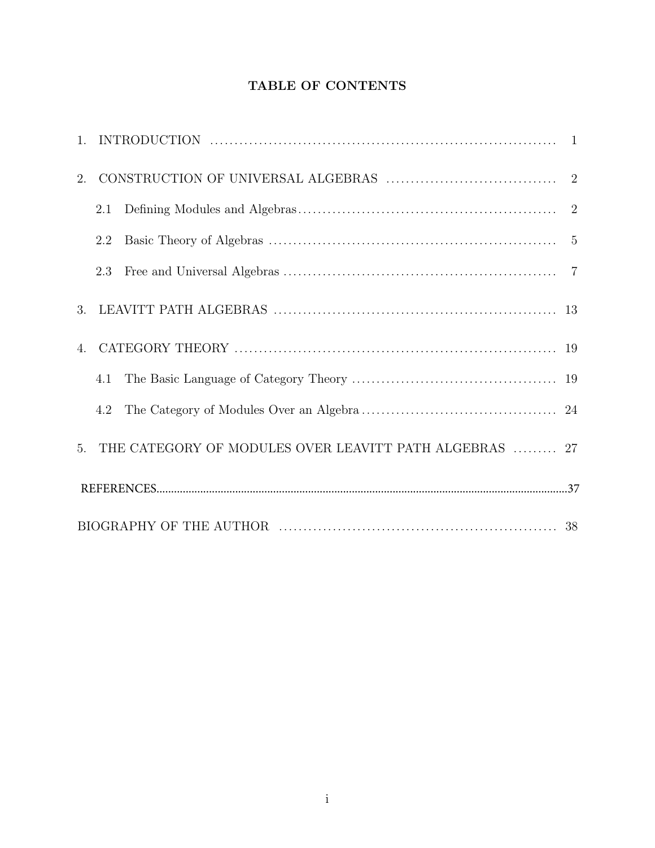## TABLE OF CONTENTS

| 2.                    |     |                                                        |  |
|-----------------------|-----|--------------------------------------------------------|--|
|                       | 2.1 |                                                        |  |
|                       | 2.2 |                                                        |  |
|                       | 2.3 |                                                        |  |
| 3.                    |     |                                                        |  |
| $\mathcal{A}_{\cdot}$ |     |                                                        |  |
|                       | 4.1 |                                                        |  |
|                       | 4.2 |                                                        |  |
| 5.                    |     | THE CATEGORY OF MODULES OVER LEAVITT PATH ALGEBRAS  27 |  |
|                       |     |                                                        |  |
|                       |     |                                                        |  |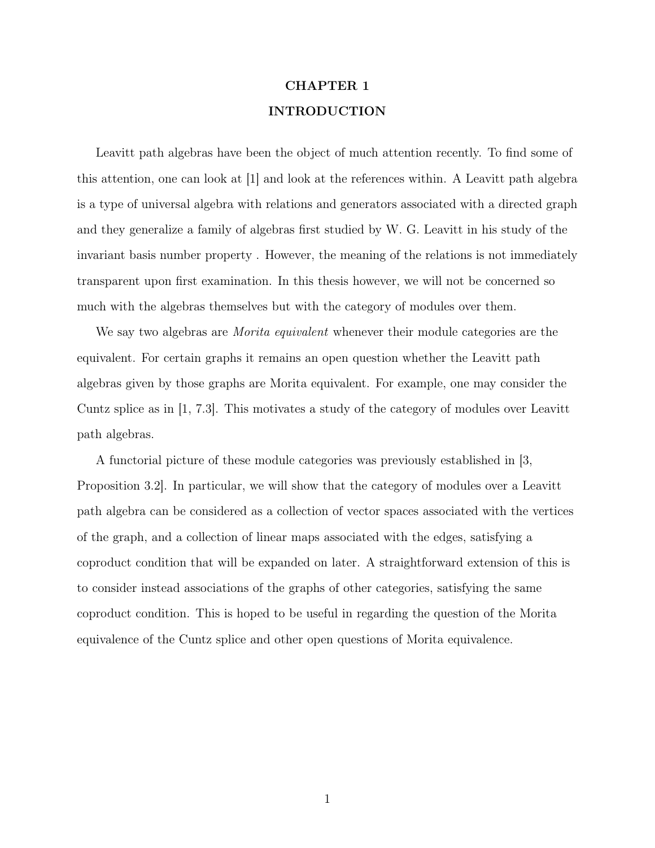## CHAPTER 1 INTRODUCTION

Leavitt path algebras have been the object of much attention recently. To find some of this attention, one can look at [1] and look at the references within. A Leavitt path algebra is a type of universal algebra with relations and generators associated with a directed graph and they generalize a family of algebras first studied by W. G. Leavitt in his study of the invariant basis number property . However, the meaning of the relations is not immediately transparent upon first examination. In this thesis however, we will not be concerned so much with the algebras themselves but with the category of modules over them.

We say two algebras are *Morita equivalent* whenever their module categories are the equivalent. For certain graphs it remains an open question whether the Leavitt path algebras given by those graphs are Morita equivalent. For example, one may consider the Cuntz splice as in [1, 7.3]. This motivates a study of the category of modules over Leavitt path algebras.

A functorial picture of these module categories was previously established in [3, Proposition 3.2]. In particular, we will show that the category of modules over a Leavitt path algebra can be considered as a collection of vector spaces associated with the vertices of the graph, and a collection of linear maps associated with the edges, satisfying a coproduct condition that will be expanded on later. A straightforward extension of this is to consider instead associations of the graphs of other categories, satisfying the same coproduct condition. This is hoped to be useful in regarding the question of the Morita equivalence of the Cuntz splice and other open questions of Morita equivalence.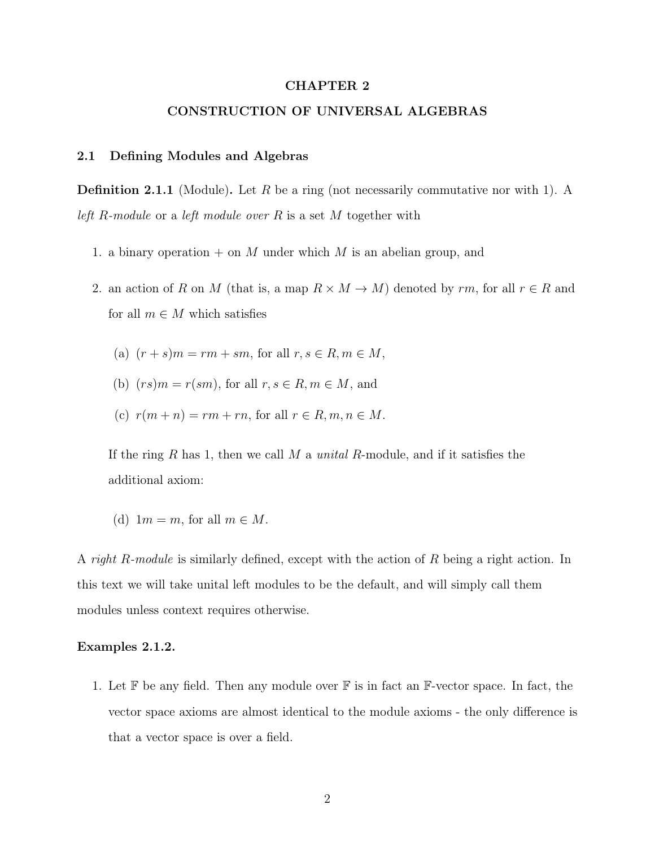### CHAPTER 2

## CONSTRUCTION OF UNIVERSAL ALGEBRAS

#### 2.1 Defining Modules and Algebras

**Definition 2.1.1** (Module). Let R be a ring (not necessarily commutative nor with 1). A left R-module or a left module over R is a set M together with

- 1. a binary operation  $+$  on M under which M is an abelian group, and
- 2. an action of R on M (that is, a map  $R \times M \to M$ ) denoted by rm, for all  $r \in R$  and for all  $m \in M$  which satisfies
	- (a)  $(r + s)m = rm + sm$ , for all  $r, s \in R, m \in M$ ,
	- (b)  $(rs)m = r(sm)$ , for all  $r, s \in R, m \in M$ , and
	- (c)  $r(m+n) = rm + rn$ , for all  $r \in R, m, n \in M$ .

If the ring R has 1, then we call M a *unital R*-module, and if it satisfies the additional axiom:

(d)  $1m = m$ , for all  $m \in M$ .

A right R-module is similarly defined, except with the action of R being a right action. In this text we will take unital left modules to be the default, and will simply call them modules unless context requires otherwise.

### Examples 2.1.2.

1. Let  $\mathbb F$  be any field. Then any module over  $\mathbb F$  is in fact an  $\mathbb F$ -vector space. In fact, the vector space axioms are almost identical to the module axioms - the only difference is that a vector space is over a field.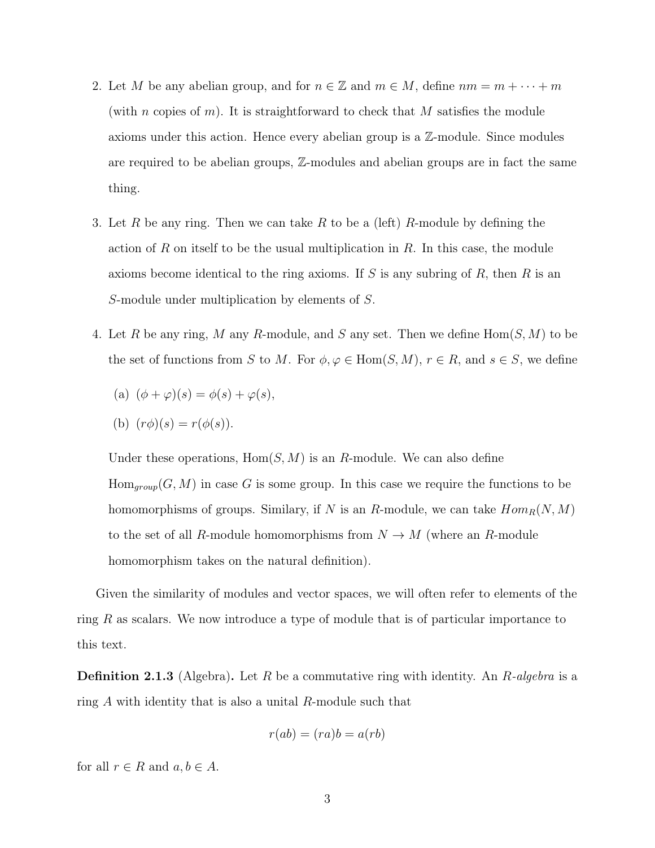- 2. Let M be any abelian group, and for  $n \in \mathbb{Z}$  and  $m \in M$ , define  $nm = m + \cdots + m$ (with n copies of m). It is straightforward to check that M satisfies the module axioms under this action. Hence every abelian group is a Z-module. Since modules are required to be abelian groups, Z-modules and abelian groups are in fact the same thing.
- 3. Let R be any ring. Then we can take R to be a (left) R-module by defining the action of R on itself to be the usual multiplication in  $R$ . In this case, the module axioms become identical to the ring axioms. If S is any subring of R, then R is an S-module under multiplication by elements of S.
- 4. Let R be any ring, M any R-module, and S any set. Then we define  $Hom(S, M)$  to be the set of functions from S to M. For  $\phi, \varphi \in \text{Hom}(S, M)$ ,  $r \in R$ , and  $s \in S$ , we define

(a) 
$$
(\phi + \varphi)(s) = \phi(s) + \varphi(s),
$$

(b) 
$$
(r\phi)(s) = r(\phi(s)).
$$

Under these operations,  $Hom(S, M)$  is an R-module. We can also define  $Hom_{group}(G, M)$  in case G is some group. In this case we require the functions to be homomorphisms of groups. Similary, if N is an R-module, we can take  $Hom_R(N, M)$ to the set of all R-module homomorphisms from  $N \to M$  (where an R-module homomorphism takes on the natural definition).

Given the similarity of modules and vector spaces, we will often refer to elements of the ring R as scalars. We now introduce a type of module that is of particular importance to this text.

**Definition 2.1.3** (Algebra). Let R be a commutative ring with identity. An R-algebra is a ring  $A$  with identity that is also a unital  $R$ -module such that

$$
r(ab)=(ra)b=a(rb)\\
$$

for all  $r \in R$  and  $a, b \in A$ .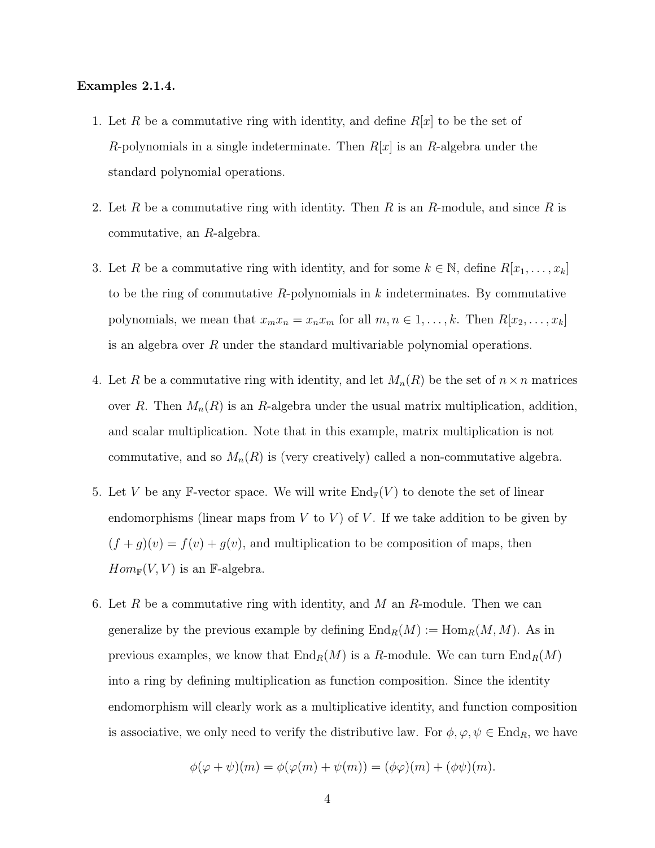### Examples 2.1.4.

- 1. Let R be a commutative ring with identity, and define  $R[x]$  to be the set of R-polynomials in a single indeterminate. Then  $R[x]$  is an R-algebra under the standard polynomial operations.
- 2. Let R be a commutative ring with identity. Then R is an R-module, and since R is commutative, an R-algebra.
- 3. Let R be a commutative ring with identity, and for some  $k \in \mathbb{N}$ , define  $R[x_1, \ldots, x_k]$ to be the ring of commutative  $R$ -polynomials in k indeterminates. By commutative polynomials, we mean that  $x_m x_n = x_n x_m$  for all  $m, n \in 1, ..., k$ . Then  $R[x_2, ..., x_k]$ is an algebra over R under the standard multivariable polynomial operations.
- 4. Let R be a commutative ring with identity, and let  $M_n(R)$  be the set of  $n \times n$  matrices over R. Then  $M_n(R)$  is an R-algebra under the usual matrix multiplication, addition, and scalar multiplication. Note that in this example, matrix multiplication is not commutative, and so  $M_n(R)$  is (very creatively) called a non-commutative algebra.
- 5. Let V be any F-vector space. We will write  $\text{End}_{\mathbb{F}}(V)$  to denote the set of linear endomorphisms (linear maps from  $V$  to  $V$ ) of  $V$ . If we take addition to be given by  $(f + g)(v) = f(v) + g(v)$ , and multiplication to be composition of maps, then  $Hom_{\mathbb{F}}(V, V)$  is an F-algebra.
- 6. Let R be a commutative ring with identity, and M an R-module. Then we can generalize by the previous example by defining  $\text{End}_R(M) := \text{Hom}_R(M, M)$ . As in previous examples, we know that  $\text{End}_R(M)$  is a R-module. We can turn  $\text{End}_R(M)$ into a ring by defining multiplication as function composition. Since the identity endomorphism will clearly work as a multiplicative identity, and function composition is associative, we only need to verify the distributive law. For  $\phi, \varphi, \psi \in \text{End}_R$ , we have

$$
\phi(\varphi + \psi)(m) = \phi(\varphi(m) + \psi(m)) = (\phi\varphi)(m) + (\phi\psi)(m).
$$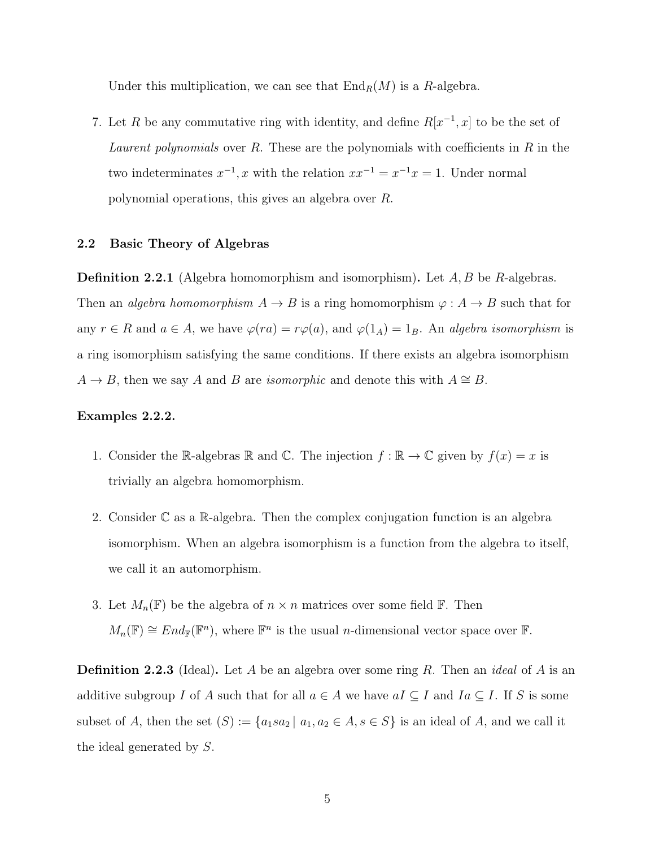Under this multiplication, we can see that  $\text{End}_R(M)$  is a R-algebra.

7. Let R be any commutative ring with identity, and define  $R[x^{-1},x]$  to be the set of Laurent polynomials over R. These are the polynomials with coefficients in R in the two indeterminates  $x^{-1}$ , x with the relation  $xx^{-1} = x^{-1}x = 1$ . Under normal polynomial operations, this gives an algebra over R.

### 2.2 Basic Theory of Algebras

**Definition 2.2.1** (Algebra homomorphism and isomorphism). Let  $A, B$  be  $R$ -algebras. Then an *algebra homomorphism*  $A \to B$  is a ring homomorphism  $\varphi : A \to B$  such that for any  $r \in R$  and  $a \in A$ , we have  $\varphi(ra) = r\varphi(a)$ , and  $\varphi(1_A) = 1_B$ . An algebra isomorphism is a ring isomorphism satisfying the same conditions. If there exists an algebra isomorphism  $A \rightarrow B$ , then we say A and B are *isomorphic* and denote this with  $A \cong B$ .

### Examples 2.2.2.

- 1. Consider the R-algebras R and C. The injection  $f : \mathbb{R} \to \mathbb{C}$  given by  $f(x) = x$  is trivially an algebra homomorphism.
- 2. Consider  $\mathbb C$  as a  $\mathbb R$ -algebra. Then the complex conjugation function is an algebra isomorphism. When an algebra isomorphism is a function from the algebra to itself, we call it an automorphism.
- 3. Let  $M_n(\mathbb{F})$  be the algebra of  $n \times n$  matrices over some field  $\mathbb{F}$ . Then  $M_n(\mathbb{F}) \cong End_{\mathbb{F}}(\mathbb{F}^n)$ , where  $\mathbb{F}^n$  is the usual *n*-dimensional vector space over  $\mathbb{F}$ .

**Definition 2.2.3** (Ideal). Let A be an algebra over some ring R. Then an *ideal* of A is an additive subgroup I of A such that for all  $a \in A$  we have  $aI \subseteq I$  and  $Ia \subseteq I$ . If S is some subset of A, then the set  $(S) := \{a_1sa_2 \mid a_1, a_2 \in A, s \in S\}$  is an ideal of A, and we call it the ideal generated by S.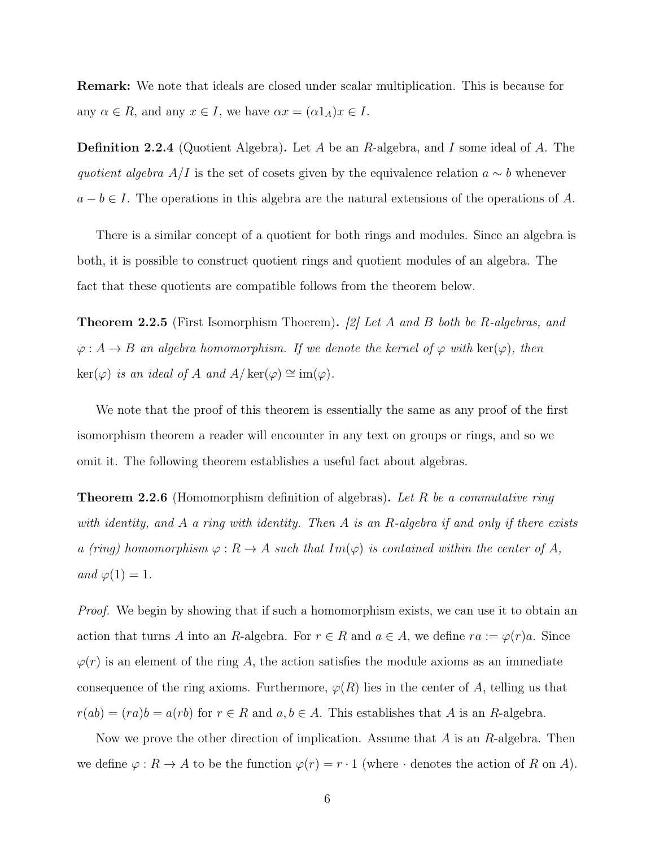Remark: We note that ideals are closed under scalar multiplication. This is because for any  $\alpha \in R$ , and any  $x \in I$ , we have  $\alpha x = (\alpha 1_A)x \in I$ .

**Definition 2.2.4** (Quotient Algebra). Let A be an R-algebra, and I some ideal of A. The quotient algebra  $A/I$  is the set of cosets given by the equivalence relation  $a \sim b$  whenever  $a - b \in I$ . The operations in this algebra are the natural extensions of the operations of A.

There is a similar concept of a quotient for both rings and modules. Since an algebra is both, it is possible to construct quotient rings and quotient modules of an algebra. The fact that these quotients are compatible follows from the theorem below.

**Theorem 2.2.5** (First Isomorphism Thoerem). [2] Let A and B both be R-algebras, and  $\varphi: A \to B$  an algebra homomorphism. If we denote the kernel of  $\varphi$  with  $\ker(\varphi)$ , then  $\ker(\varphi)$  is an ideal of A and  $A/\ker(\varphi) \cong \text{im}(\varphi)$ .

We note that the proof of this theorem is essentially the same as any proof of the first isomorphism theorem a reader will encounter in any text on groups or rings, and so we omit it. The following theorem establishes a useful fact about algebras.

**Theorem 2.2.6** (Homomorphism definition of algebras). Let R be a commutative ring with identity, and A a ring with identity. Then A is an R-algebra if and only if there exists a (ring) homomorphism  $\varphi: R \to A$  such that  $Im(\varphi)$  is contained within the center of A, and  $\varphi(1) = 1$ .

Proof. We begin by showing that if such a homomorphism exists, we can use it to obtain an action that turns A into an R-algebra. For  $r \in R$  and  $a \in A$ , we define  $ra := \varphi(r)a$ . Since  $\varphi(r)$  is an element of the ring A, the action satisfies the module axioms as an immediate consequence of the ring axioms. Furthermore,  $\varphi(R)$  lies in the center of A, telling us that  $r(ab) = (ra)b = a(rb)$  for  $r \in R$  and  $a, b \in A$ . This establishes that A is an R-algebra.

Now we prove the other direction of implication. Assume that  $A$  is an  $R$ -algebra. Then we define  $\varphi: R \to A$  to be the function  $\varphi(r) = r \cdot 1$  (where  $\cdot$  denotes the action of R on A).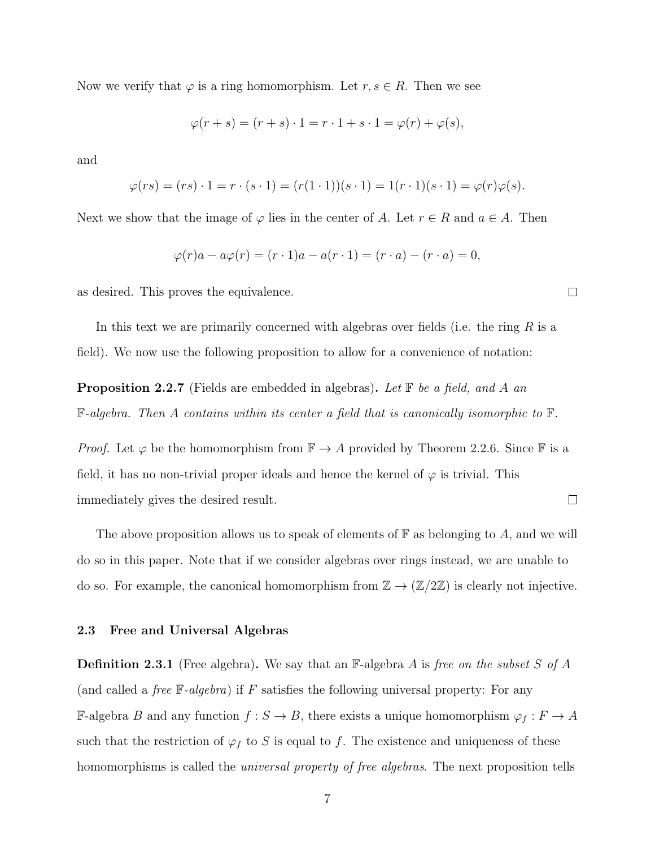Now we verify that  $\varphi$  is a ring homomorphism. Let  $r, s \in R$ . Then we see

$$
\varphi(r+s) = (r+s) \cdot 1 = r \cdot 1 + s \cdot 1 = \varphi(r) + \varphi(s),
$$

and

$$
\varphi(rs) = (rs) \cdot 1 = r \cdot (s \cdot 1) = (r(1 \cdot 1))(s \cdot 1) = 1(r \cdot 1)(s \cdot 1) = \varphi(r)\varphi(s).
$$

Next we show that the image of  $\varphi$  lies in the center of A. Let  $r \in R$  and  $a \in A$ . Then

$$
\varphi(r)a - a\varphi(r) = (r \cdot 1)a - a(r \cdot 1) = (r \cdot a) - (r \cdot a) = 0,
$$

as desired. This proves the equivalence.

In this text we are primarily concerned with algebras over fields (i.e. the ring  $R$  is a field). We now use the following proposition to allow for a convenience of notation:

**Proposition 2.2.7** (Fields are embedded in algebras). Let  $\mathbb{F}$  be a field, and A an  $\mathbb{F}\text{-}algebra.$  Then A contains within its center a field that is canonically isomorphic to  $\mathbb{F}.$ 

*Proof.* Let  $\varphi$  be the homomorphism from  $\mathbb{F} \to A$  provided by Theorem 2.2.6. Since  $\mathbb{F}$  is a field, it has no non-trivial proper ideals and hence the kernel of  $\varphi$  is trivial. This immediately gives the desired result.  $\Box$ 

The above proposition allows us to speak of elements of  $\mathbb F$  as belonging to A, and we will do so in this paper. Note that if we consider algebras over rings instead, we are unable to do so. For example, the canonical homomorphism from  $\mathbb{Z} \to (\mathbb{Z}/2\mathbb{Z})$  is clearly not injective.

### 2.3 Free and Universal Algebras

**Definition 2.3.1** (Free algebra). We say that an  $\mathbb{F}$ -algebra A is free on the subset S of A (and called a *free*  $\mathbb{F}\text{-}algebra$ ) if F satisfies the following universal property: For any F-algebra B and any function  $f : S \to B$ , there exists a unique homomorphism  $\varphi_f : F \to A$ such that the restriction of  $\varphi_f$  to S is equal to f. The existence and uniqueness of these homomorphisms is called the *universal property of free algebras*. The next proposition tells

 $\Box$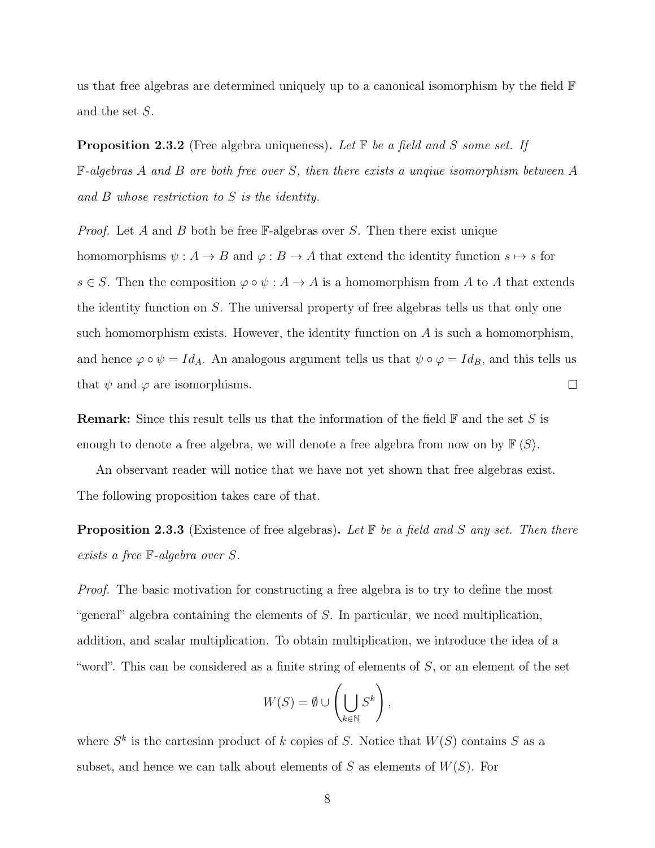us that free algebras are determined uniquely up to a canonical isomorphism by the field F and the set S.

**Proposition 2.3.2** (Free algebra uniqueness). Let  $\mathbb{F}$  be a field and S some set. If F-algebras A and B are both free over S, then there exists a unqiue isomorphism between A and B whose restriction to S is the identity.

*Proof.* Let A and B both be free  $\mathbb{F}-$ -algebras over S. Then there exist unique homomorphisms  $\psi : A \to B$  and  $\varphi : B \to A$  that extend the identity function  $s \mapsto s$  for  $s \in S$ . Then the composition  $\varphi \circ \psi : A \to A$  is a homomorphism from A to A that extends the identity function on S. The universal property of free algebras tells us that only one such homomorphism exists. However, the identity function on  $A$  is such a homomorphism, and hence  $\varphi \circ \psi = Id_A$ . An analogous argument tells us that  $\psi \circ \varphi = Id_B$ , and this tells us that  $\psi$  and  $\varphi$  are isomorphisms.  $\Box$ 

**Remark:** Since this result tells us that the information of the field  $\mathbb{F}$  and the set S is enough to denote a free algebra, we will denote a free algebra from now on by  $\mathbb{F}\langle S \rangle$ .

An observant reader will notice that we have not yet shown that free algebras exist. The following proposition takes care of that.

**Proposition 2.3.3** (Existence of free algebras). Let  $\mathbb F$  be a field and S any set. Then there exists a free F-algebra over S.

*Proof.* The basic motivation for constructing a free algebra is to try to define the most "general" algebra containing the elements of S. In particular, we need multiplication, addition, and scalar multiplication. To obtain multiplication, we introduce the idea of a "word". This can be considered as a finite string of elements of  $S$ , or an element of the set

$$
W(S) = \emptyset \cup \left(\bigcup_{k \in \mathbb{N}} S^k\right),
$$

where  $S^k$  is the cartesian product of k copies of S. Notice that  $W(S)$  contains S as a subset, and hence we can talk about elements of  $S$  as elements of  $W(S)$ . For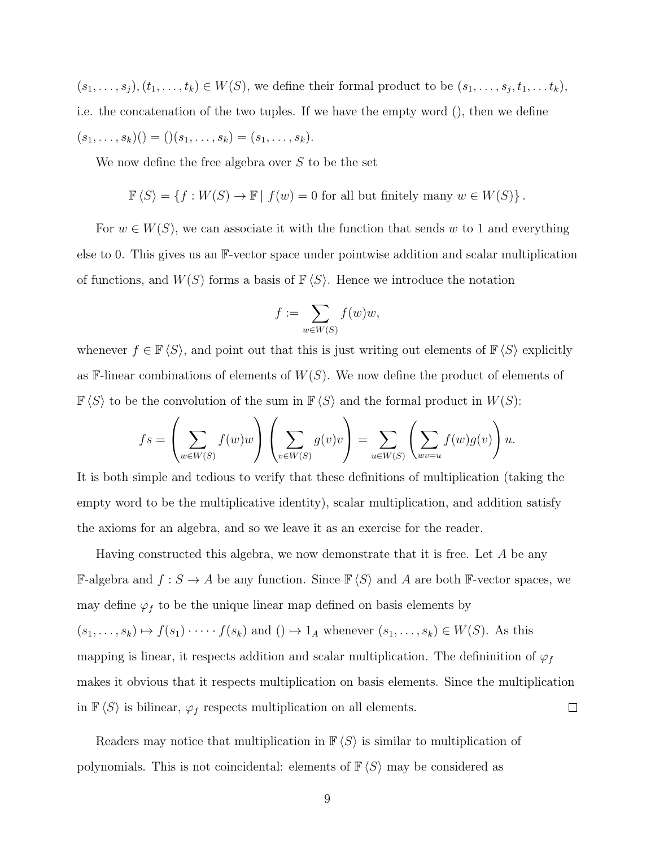$(s_1, \ldots, s_j), (t_1, \ldots, t_k) \in W(S)$ , we define their formal product to be  $(s_1, \ldots, s_j, t_1, \ldots t_k)$ , i.e. the concatenation of the two tuples. If we have the empty word (), then we define  $(s_1, \ldots, s_k)(\) = (\) (s_1, \ldots, s_k) = (s_1, \ldots, s_k).$ 

We now define the free algebra over S to be the set

$$
\mathbb{F}\left\langle S\right\rangle = \left\{f: W(S) \to \mathbb{F} \mid f(w) = 0 \text{ for all but finitely many } w \in W(S)\right\}.
$$

For  $w \in W(S)$ , we can associate it with the function that sends w to 1 and everything else to 0. This gives us an F-vector space under pointwise addition and scalar multiplication of functions, and  $W(S)$  forms a basis of  $\mathbb{F}\langle S \rangle$ . Hence we introduce the notation

$$
f := \sum_{w \in W(S)} f(w)w,
$$

whenever  $f \in \mathbb{F}\langle S \rangle$ , and point out that this is just writing out elements of  $\mathbb{F}\langle S \rangle$  explicitly as  $\mathbb{F}\text{-linear combinations of elements of } W(S)$ . We now define the product of elements of  $\mathbb{F}\langle S \rangle$  to be the convolution of the sum in  $\mathbb{F}\langle S \rangle$  and the formal product in  $W(S)$ :

$$
fs = \left(\sum_{w \in W(S)} f(w)w\right)\left(\sum_{v \in W(S)} g(v)v\right) = \sum_{u \in W(S)} \left(\sum_{wv=u} f(w)g(v)\right)u.
$$

It is both simple and tedious to verify that these definitions of multiplication (taking the empty word to be the multiplicative identity), scalar multiplication, and addition satisfy the axioms for an algebra, and so we leave it as an exercise for the reader.

Having constructed this algebra, we now demonstrate that it is free. Let A be any  $\mathbb{F}\text{-algebra and } f: S → A$  be any function. Since  $\mathbb{F} \langle S \rangle$  and A are both  $\mathbb{F}\text{-vector spaces, we}$ may define  $\varphi_f$  to be the unique linear map defined on basis elements by  $(s_1, \ldots, s_k) \mapsto f(s_1) \cdot \cdots \cdot f(s_k)$  and  $() \mapsto 1_A$  whenever  $(s_1, \ldots, s_k) \in W(S)$ . As this mapping is linear, it respects addition and scalar multiplication. The defininition of  $\varphi_f$ makes it obvious that it respects multiplication on basis elements. Since the multiplication  $\Box$ in  $\mathbb{F}\langle S \rangle$  is bilinear,  $\varphi_f$  respects multiplication on all elements.

Readers may notice that multiplication in  $\mathbb{F}\langle S \rangle$  is similar to multiplication of polynomials. This is not coincidental: elements of  $\mathbb{F}\langle S \rangle$  may be considered as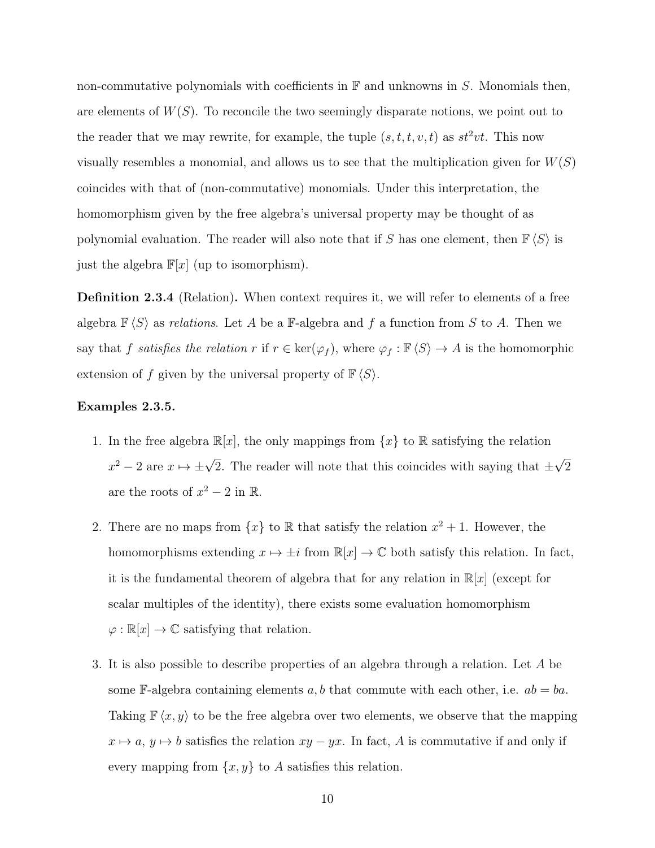non-commutative polynomials with coefficients in  $\mathbb F$  and unknowns in S. Monomials then, are elements of  $W(S)$ . To reconcile the two seemingly disparate notions, we point out to the reader that we may rewrite, for example, the tuple  $(s, t, t, v, t)$  as  $st^2vt$ . This now visually resembles a monomial, and allows us to see that the multiplication given for  $W(S)$ coincides with that of (non-commutative) monomials. Under this interpretation, the homomorphism given by the free algebra's universal property may be thought of as polynomial evaluation. The reader will also note that if S has one element, then  $\mathbb{F}\langle S \rangle$  is just the algebra  $\mathbb{F}[x]$  (up to isomorphism).

Definition 2.3.4 (Relation). When context requires it, we will refer to elements of a free algebra  $\mathbb{F}\langle S \rangle$  as relations. Let A be a F-algebra and f a function from S to A. Then we say that f satisfies the relation r if  $r \in \text{ker}(\varphi_f)$ , where  $\varphi_f : \mathbb{F}\langle S \rangle \to A$  is the homomorphic extension of f given by the universal property of  $\mathbb{F}\langle S \rangle$ .

### Examples 2.3.5.

- 1. In the free algebra  $\mathbb{R}[x]$ , the only mappings from  $\{x\}$  to  $\mathbb R$  satisfying the relation  $x^2 - 2$  are  $x \mapsto \pm \sqrt{2}$ . The reader will note that this coincides with saying that  $\pm$ √ 2 are the roots of  $x^2 - 2$  in  $\mathbb{R}$ .
- 2. There are no maps from  $\{x\}$  to  $\mathbb R$  that satisfy the relation  $x^2 + 1$ . However, the homomorphisms extending  $x \mapsto \pm i$  from  $\mathbb{R}[x] \to \mathbb{C}$  both satisfy this relation. In fact, it is the fundamental theorem of algebra that for any relation in  $\mathbb{R}[x]$  (except for scalar multiples of the identity), there exists some evaluation homomorphism  $\varphi : \mathbb{R}[x] \to \mathbb{C}$  satisfying that relation.
- 3. It is also possible to describe properties of an algebra through a relation. Let A be some F-algebra containing elements a, b that commute with each other, i.e.  $ab = ba$ . Taking  $\mathbb{F}\langle x, y \rangle$  to be the free algebra over two elements, we observe that the mapping  $x \mapsto a, y \mapsto b$  satisfies the relation  $xy - yx$ . In fact, A is commutative if and only if every mapping from  $\{x, y\}$  to A satisfies this relation.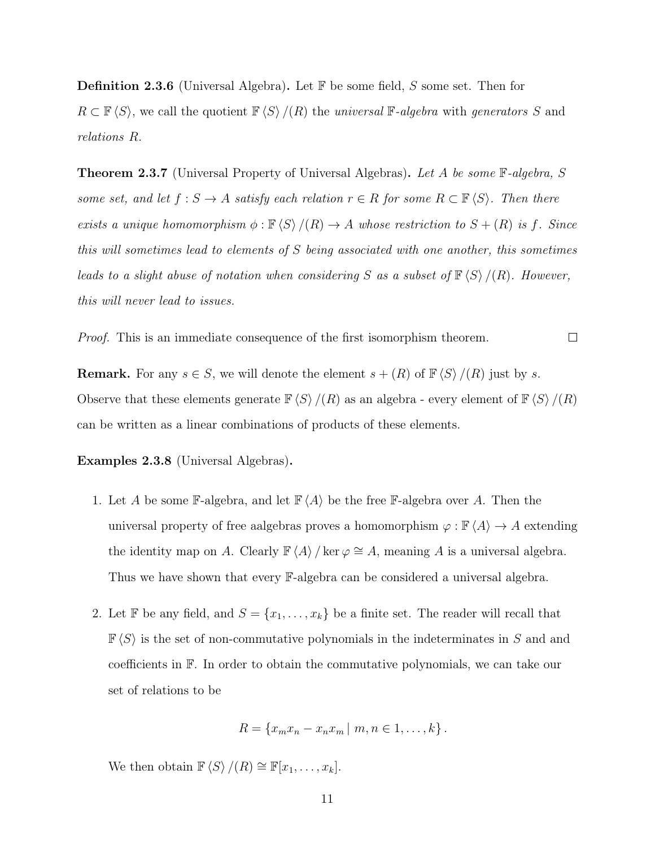**Definition 2.3.6** (Universal Algebra). Let  $\mathbb{F}$  be some field, S some set. Then for  $R \subset \mathbb{F}\langle S \rangle$ , we call the quotient  $\mathbb{F}\langle S \rangle / (R)$  the universal F-algebra with generators S and relations R.

**Theorem 2.3.7** (Universal Property of Universal Algebras). Let A be some  $\mathbb{F}\text{-}algebra$ , S some set, and let  $f : S \to A$  satisfy each relation  $r \in R$  for some  $R \subset \mathbb{F}\langle S \rangle$ . Then there exists a unique homomorphism  $\phi : \mathbb{F} \langle S \rangle / (R) \to A$  whose restriction to  $S + (R)$  is f. Since this will sometimes lead to elements of S being associated with one another, this sometimes leads to a slight abuse of notation when considering S as a subset of  $\mathbb{F}\langle S \rangle / (R)$ . However, this will never lead to issues.

Proof. This is an immediate consequence of the first isomorphism theorem.  $\Box$ 

**Remark.** For any  $s \in S$ , we will denote the element  $s + (R)$  of  $\mathbb{F}\langle S \rangle / (R)$  just by s. Observe that these elements generate  $\mathbb{F}\langle S \rangle / (R)$  as an algebra - every element of  $\mathbb{F}\langle S \rangle / (R)$ can be written as a linear combinations of products of these elements.

Examples 2.3.8 (Universal Algebras).

- 1. Let A be some F-algebra, and let  $\mathbb{F}\langle A \rangle$  be the free F-algebra over A. Then the universal property of free aalgebras proves a homomorphism  $\varphi : \mathbb{F} \langle A \rangle \to A$  extending the identity map on A. Clearly  $\mathbb{F} \langle A \rangle / \ker \varphi \cong A$ , meaning A is a universal algebra. Thus we have shown that every F-algebra can be considered a universal algebra.
- 2. Let F be any field, and  $S = \{x_1, \ldots, x_k\}$  be a finite set. The reader will recall that  $\mathbb{F}\langle S \rangle$  is the set of non-commutative polynomials in the indeterminates in S and and coefficients in F. In order to obtain the commutative polynomials, we can take our set of relations to be

$$
R = \{x_m x_n - x_n x_m \mid m, n \in 1, \ldots, k\}.
$$

We then obtain  $\mathbb{F}\langle S \rangle / (R) \cong \mathbb{F}[x_1, \ldots, x_k].$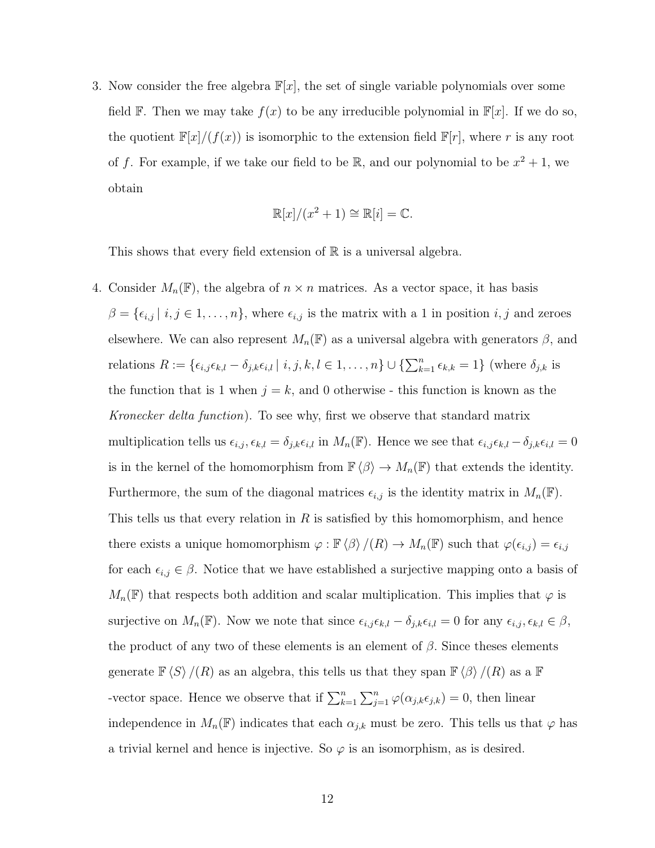3. Now consider the free algebra  $\mathbb{F}[x]$ , the set of single variable polynomials over some field F. Then we may take  $f(x)$  to be any irreducible polynomial in  $\mathbb{F}[x]$ . If we do so, the quotient  $\mathbb{F}[x]/(f(x))$  is isomorphic to the extension field  $\mathbb{F}[r]$ , where r is any root of f. For example, if we take our field to be  $\mathbb{R}$ , and our polynomial to be  $x^2 + 1$ , we obtain

$$
\mathbb{R}[x]/(x^2+1) \cong \mathbb{R}[i] = \mathbb{C}
$$

This shows that every field extension of  $\mathbb R$  is a universal algebra.

4. Consider  $M_n(\mathbb{F})$ , the algebra of  $n \times n$  matrices. As a vector space, it has basis  $\beta = {\epsilon_{i,j} | i, j \in 1, \ldots, n}$ , where  $\epsilon_{i,j}$  is the matrix with a 1 in position  $i, j$  and zeroes elsewhere. We can also represent  $M_n(\mathbb{F})$  as a universal algebra with generators  $\beta$ , and relations  $R := \{\epsilon_{i,j} \epsilon_{k,l} - \delta_{j,k} \epsilon_{i,l} | i,j,k,l \in 1,\ldots,n\} \cup \{\sum_{k=1}^n \epsilon_{k,k} = 1\}$  (where  $\delta_{j,k}$  is the function that is 1 when  $j = k$ , and 0 otherwise - this function is known as the Kronecker delta function). To see why, first we observe that standard matrix multiplication tells us  $\epsilon_{i,j}, \epsilon_{k,l} = \delta_{j,k} \epsilon_{i,l}$  in  $M_n(\mathbb{F})$ . Hence we see that  $\epsilon_{i,j} \epsilon_{k,l} - \delta_{j,k} \epsilon_{i,l} = 0$ is in the kernel of the homomorphism from  $\mathbb{F} \langle \beta \rangle \to M_n(\mathbb{F})$  that extends the identity. Furthermore, the sum of the diagonal matrices  $\epsilon_{i,j}$  is the identity matrix in  $M_n(\mathbb{F})$ . This tells us that every relation in  $R$  is satisfied by this homomorphism, and hence there exists a unique homomorphism  $\varphi : \mathbb{F} \langle \beta \rangle / (R) \to M_n(\mathbb{F})$  such that  $\varphi(\epsilon_{i,j}) = \epsilon_{i,j}$ for each  $\epsilon_{i,j} \in \beta$ . Notice that we have established a surjective mapping onto a basis of  $M_n(\mathbb{F})$  that respects both addition and scalar multiplication. This implies that  $\varphi$  is surjective on  $M_n(\mathbb{F})$ . Now we note that since  $\epsilon_{i,j} \epsilon_{k,l} - \delta_{j,k} \epsilon_{i,l} = 0$  for any  $\epsilon_{i,j}, \epsilon_{k,l} \in \beta$ , the product of any two of these elements is an element of  $\beta$ . Since theses elements generate  $\mathbb{F}\langle S \rangle / (R)$  as an algebra, this tells us that they span  $\mathbb{F}\langle \beta \rangle / (R)$  as a  $\mathbb{F}$ -vector space. Hence we observe that if  $\sum_{k=1}^{n} \sum_{j=1}^{n} \varphi(\alpha_{j,k} \epsilon_{j,k}) = 0$ , then linear independence in  $M_n(\mathbb{F})$  indicates that each  $\alpha_{j,k}$  must be zero. This tells us that  $\varphi$  has a trivial kernel and hence is injective. So  $\varphi$  is an isomorphism, as is desired.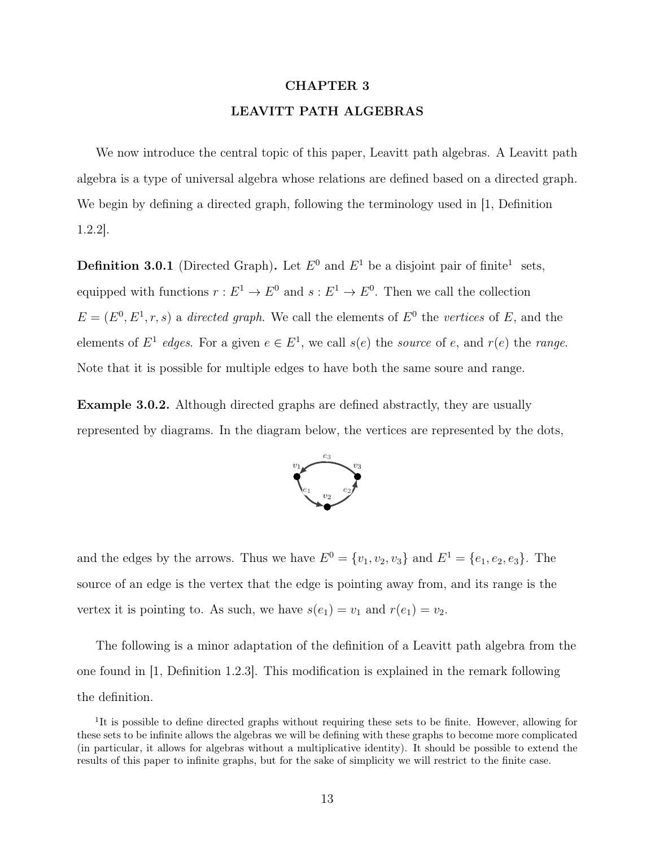# CHAPTER 3 LEAVITT PATH ALGEBRAS

We now introduce the central topic of this paper, Leavitt path algebras. A Leavitt path algebra is a type of universal algebra whose relations are defined based on a directed graph. We begin by defining a directed graph, following the terminology used in [1, Definition 1.2.2].

**Definition 3.0.1** (Directed Graph). Let  $E^0$  and  $E^1$  be a disjoint pair of finite<sup>1</sup> sets, equipped with functions  $r: E^1 \to E^0$  and  $s: E^1 \to E^0$ . Then we call the collection  $E = (E^0, E^1, r, s)$  a directed graph. We call the elements of  $E^0$  the vertices of E, and the elements of  $E^1$  edges. For a given  $e \in E^1$ , we call  $s(e)$  the source of e, and  $r(e)$  the range. Note that it is possible for multiple edges to have both the same soure and range.

Example 3.0.2. Although directed graphs are defined abstractly, they are usually represented by diagrams. In the diagram below, the vertices are represented by the dots,



and the edges by the arrows. Thus we have  $E^0 = \{v_1, v_2, v_3\}$  and  $E^1 = \{e_1, e_2, e_3\}$ . The source of an edge is the vertex that the edge is pointing away from, and its range is the vertex it is pointing to. As such, we have  $s(e_1) = v_1$  and  $r(e_1) = v_2$ .

The following is a minor adaptation of the definition of a Leavitt path algebra from the one found in [1, Definition 1.2.3]. This modification is explained in the remark following the definition.

<sup>&</sup>lt;sup>1</sup>It is possible to define directed graphs without requiring these sets to be finite. However, allowing for these sets to be infinite allows the algebras we will be defining with these graphs to become more complicated (in particular, it allows for algebras without a multiplicative identity). It should be possible to extend the results of this paper to infinite graphs, but for the sake of simplicity we will restrict to the finite case.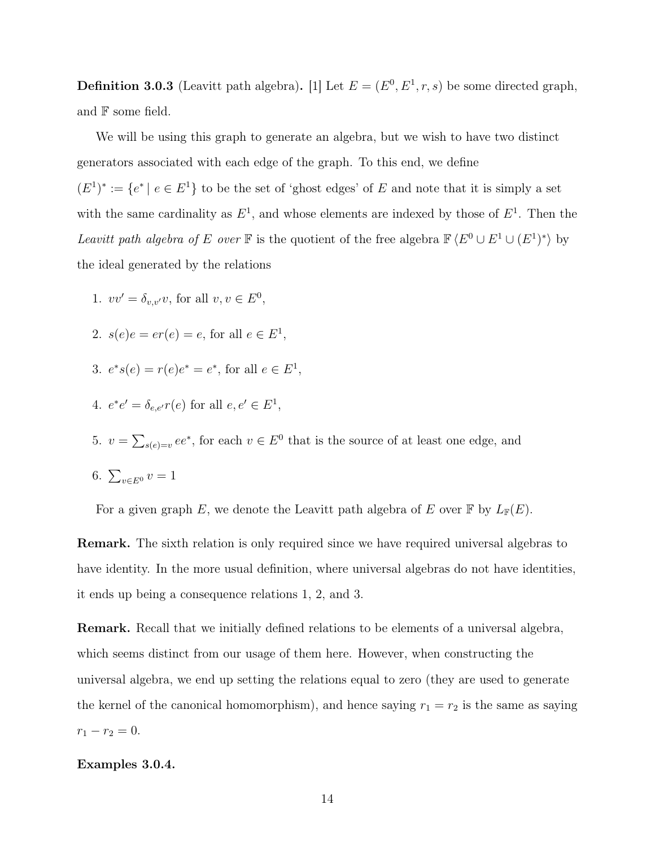**Definition 3.0.3** (Leavitt path algebra). [1] Let  $E = (E^0, E^1, r, s)$  be some directed graph, and F some field.

We will be using this graph to generate an algebra, but we wish to have two distinct generators associated with each edge of the graph. To this end, we define  $(E^1)^* := \{e^* \mid e \in E^1\}$  to be the set of 'ghost edges' of E and note that it is simply a set with the same cardinality as  $E^1$ , and whose elements are indexed by those of  $E^1$ . Then the Leavitt path algebra of E over F is the quotient of the free algebra  $\mathbb{F} \langle E^0 \cup E^1 \cup (E^1)^* \rangle$  by the ideal generated by the relations

- 1.  $vv' = \delta_{v,v'}v$ , for all  $v, v \in E^0$ ,
- 2.  $s(e)e = er(e) = e$ , for all  $e \in E^1$ ,
- 3.  $e^*s(e) = r(e)e^* = e^*$ , for all  $e \in E^1$ ,
- 4.  $e^*e' = \delta_{e,e'}r(e)$  for all  $e, e' \in E^1$ ,
- 5.  $v = \sum_{s(e)=v} ee^*$ , for each  $v \in E^0$  that is the source of at least one edge, and

$$
6. \sum_{v \in E^0} v = 1
$$

For a given graph E, we denote the Leavitt path algebra of E over  $\mathbb F$  by  $L_{\mathbb F}(E)$ .

Remark. The sixth relation is only required since we have required universal algebras to have identity. In the more usual definition, where universal algebras do not have identities, it ends up being a consequence relations 1, 2, and 3.

Remark. Recall that we initially defined relations to be elements of a universal algebra, which seems distinct from our usage of them here. However, when constructing the universal algebra, we end up setting the relations equal to zero (they are used to generate the kernel of the canonical homomorphism), and hence saying  $r_1 = r_2$  is the same as saying  $r_1 - r_2 = 0.$ 

## Examples 3.0.4.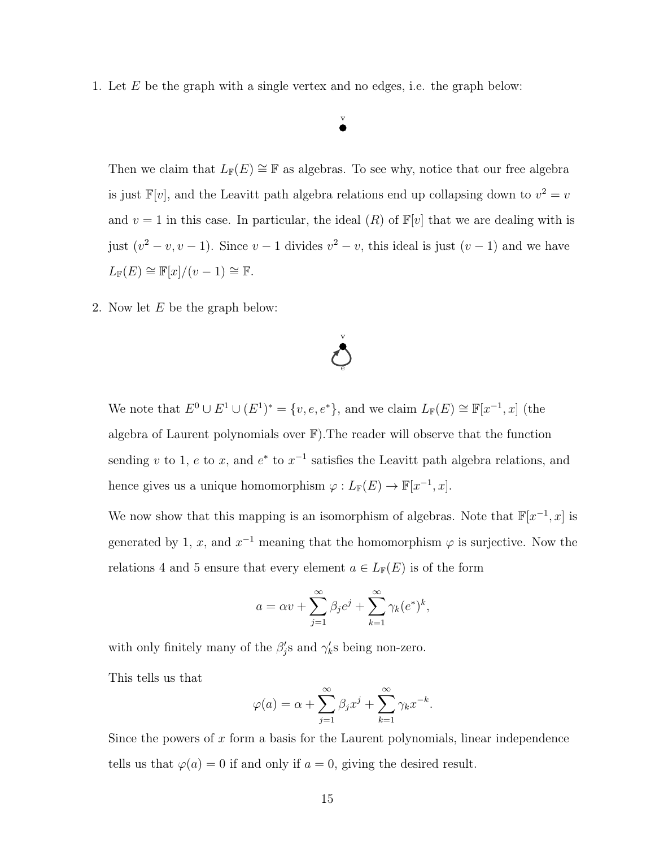1. Let E be the graph with a single vertex and no edges, i.e. the graph below:

## v

Then we claim that  $L_F(E) \cong \mathbb{F}$  as algebras. To see why, notice that our free algebra is just  $\mathbb{F}[v]$ , and the Leavitt path algebra relations end up collapsing down to  $v^2 = v$ and  $v = 1$  in this case. In particular, the ideal  $(R)$  of  $\mathbb{F}[v]$  that we are dealing with is just  $(v^2 - v, v - 1)$ . Since  $v - 1$  divides  $v^2 - v$ , this ideal is just  $(v - 1)$  and we have  $L_{\mathbb{F}}(E) \cong \mathbb{F}[x]/(v-1) \cong \mathbb{F}.$ 

2. Now let E be the graph below:

We note that  $E^0 \cup E^1 \cup (E^1)^* = \{v, e, e^*\}$ , and we claim  $L_{\mathbb{F}}(E) \cong \mathbb{F}[x^{-1}, x]$  (the algebra of Laurent polynomials over F).The reader will observe that the function sending v to 1, e to x, and  $e^*$  to  $x^{-1}$  satisfies the Leavitt path algebra relations, and hence gives us a unique homomorphism  $\varphi: L_{\mathbb{F}}(E) \to \mathbb{F}[x^{-1},x].$ 

e

v

We now show that this mapping is an isomorphism of algebras. Note that  $\mathbb{F}[x^{-1},x]$  is generated by 1, x, and  $x^{-1}$  meaning that the homomorphism  $\varphi$  is surjective. Now the relations 4 and 5 ensure that every element  $a \in L_{\mathbb{F}}(E)$  is of the form

$$
a = \alpha v + \sum_{j=1}^{\infty} \beta_j e^j + \sum_{k=1}^{\infty} \gamma_k (e^*)^k,
$$

with only finitely many of the  $\beta'_j$ s and  $\gamma'_k$ s being non-zero.

This tells us that

$$
\varphi(a) = \alpha + \sum_{j=1}^{\infty} \beta_j x^j + \sum_{k=1}^{\infty} \gamma_k x^{-k}.
$$

Since the powers of  $x$  form a basis for the Laurent polynomials, linear independence tells us that  $\varphi(a) = 0$  if and only if  $a = 0$ , giving the desired result.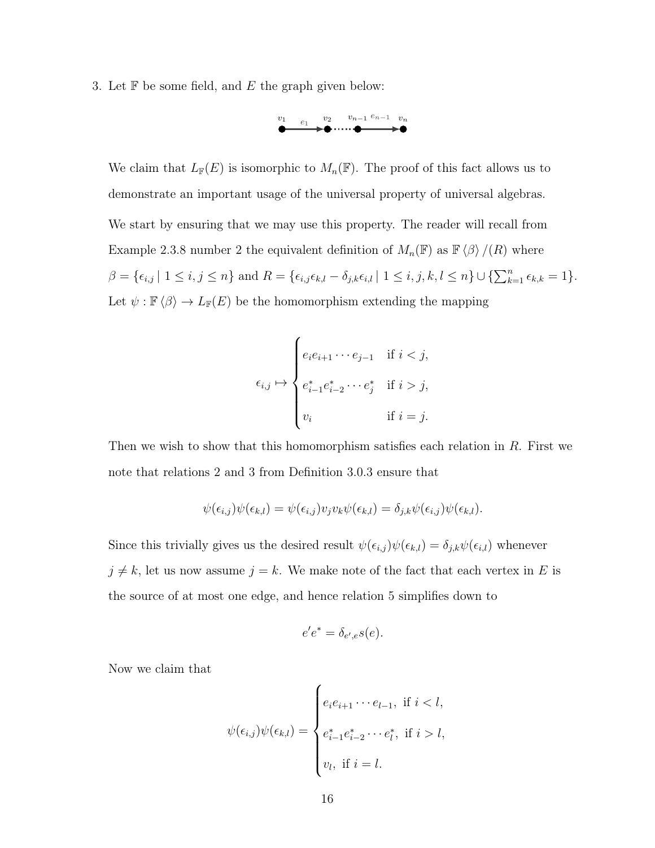3. Let  $\mathbb F$  be some field, and  $E$  the graph given below:



We claim that  $L_{\mathbb{F}}(E)$  is isomorphic to  $M_n(\mathbb{F})$ . The proof of this fact allows us to demonstrate an important usage of the universal property of universal algebras. We start by ensuring that we may use this property. The reader will recall from Example 2.3.8 number 2 the equivalent definition of  $M_n(\mathbb{F})$  as  $\mathbb{F}\langle \beta \rangle / (R)$  where  $\beta = {\epsilon_{i,j} | 1 \le i, j \le n}$  and  $R = {\epsilon_{i,j} \epsilon_{k,l} - \delta_{j,k} \epsilon_{i,l} | 1 \le i, j, k, l \le n} \cup {\sum_{k=1}^{n} \epsilon_{k,k}} = 1$ . Let  $\psi : \mathbb{F} \langle \beta \rangle \to L_{\mathbb{F}}(E)$  be the homomorphism extending the mapping

$$
\epsilon_{i,j} \mapsto \begin{cases} e_i e_{i+1} \cdots e_{j-1} & \text{if $i < j$,} \\ \ \\ e_{i-1}^* e_{i-2}^* \cdots e_j^* & \text{if $i > j$,} \\ v_i & \text{if $i = j$.} \end{cases}
$$

Then we wish to show that this homomorphism satisfies each relation in  $R$ . First we note that relations 2 and 3 from Definition 3.0.3 ensure that

$$
\psi(\epsilon_{i,j})\psi(\epsilon_{k,l}) = \psi(\epsilon_{i,j})v_jv_k\psi(\epsilon_{k,l}) = \delta_{j,k}\psi(\epsilon_{i,j})\psi(\epsilon_{k,l}).
$$

Since this trivially gives us the desired result  $\psi(\epsilon_{i,j})\psi(\epsilon_{k,l}) = \delta_{j,k}\psi(\epsilon_{i,l})$  whenever  $j \neq k$ , let us now assume  $j = k$ . We make note of the fact that each vertex in E is the source of at most one edge, and hence relation 5 simplifies down to

$$
e'e^* = \delta_{e',e}s(e).
$$

Now we claim that

$$
\psi(\epsilon_{i,j})\psi(\epsilon_{k,l}) = \begin{cases} e_i e_{i+1} \cdots e_{l-1}, & \text{if } i < l, \\ e_{i-1}^* e_{i-2}^* \cdots e_l^*, & \text{if } i > l, \\ v_l, & \text{if } i = l. \end{cases}
$$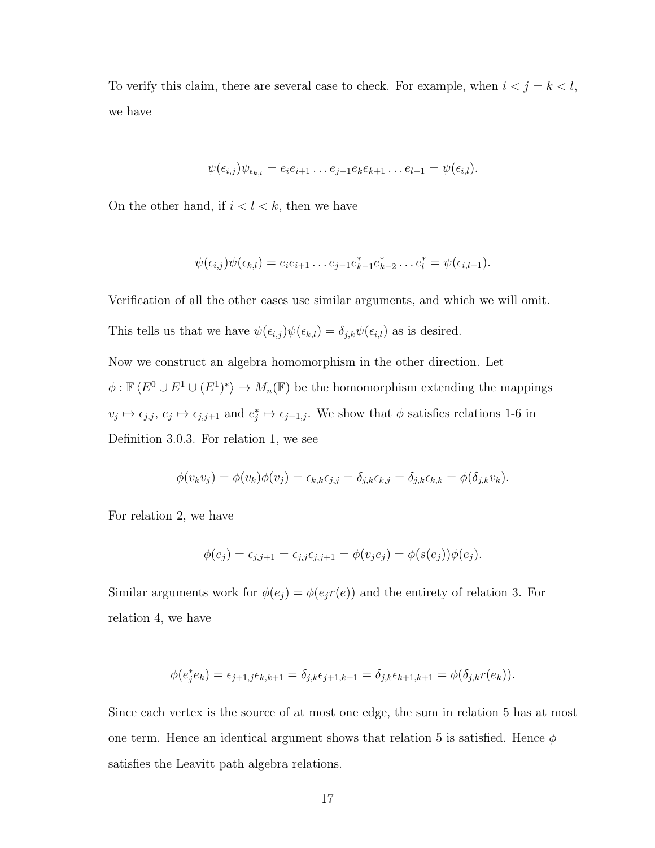To verify this claim, there are several case to check. For example, when  $i < j = k < l$ , we have

$$
\psi(\epsilon_{i,j})\psi_{\epsilon_{k,l}}=e_ie_{i+1}\dots e_{j-1}e_ke_{k+1}\dots e_{l-1}=\psi(\epsilon_{i,l}).
$$

On the other hand, if  $i < l < k$ , then we have

$$
\psi(\epsilon_{i,j})\psi(\epsilon_{k,l})=e_ie_{i+1}\dots e_{j-1}e_{k-1}^*e_{k-2}^*\dots e_l^*=\psi(\epsilon_{i,l-1}).
$$

Verification of all the other cases use similar arguments, and which we will omit.

This tells us that we have  $\psi(\epsilon_{i,j})\psi(\epsilon_{k,l}) = \delta_{j,k}\psi(\epsilon_{i,l})$  as is desired.

Now we construct an algebra homomorphism in the other direction. Let  $\phi: \mathbb{F}\langle E^0 \cup E^1 \cup (E^1)^* \rangle \to M_n(\mathbb{F})$  be the homomorphism extending the mappings  $v_j \mapsto \epsilon_{j,j},\ e_j \mapsto \epsilon_{j,j+1}$  and  $e_j^* \mapsto \epsilon_{j+1,j}$ . We show that  $\phi$  satisfies relations 1-6 in Definition 3.0.3. For relation 1, we see

$$
\phi(v_k v_j) = \phi(v_k)\phi(v_j) = \epsilon_{k,k}\epsilon_{j,j} = \delta_{j,k}\epsilon_{k,j} = \delta_{j,k}\epsilon_{k,k} = \phi(\delta_{j,k}v_k).
$$

For relation 2, we have

$$
\phi(e_j) = \epsilon_{j,j+1} = \epsilon_{j,j}\epsilon_{j,j+1} = \phi(v_j e_j) = \phi(s(e_j))\phi(e_j).
$$

Similar arguments work for  $\phi(e_j) = \phi(e_j r(e))$  and the entirety of relation 3. For relation 4, we have

$$
\phi(e_j^*e_k) = \epsilon_{j+1,j}\epsilon_{k,k+1} = \delta_{j,k}\epsilon_{j+1,k+1} = \delta_{j,k}\epsilon_{k+1,k+1} = \phi(\delta_{j,k}r(e_k)).
$$

Since each vertex is the source of at most one edge, the sum in relation 5 has at most one term. Hence an identical argument shows that relation 5 is satisfied. Hence  $\phi$ satisfies the Leavitt path algebra relations.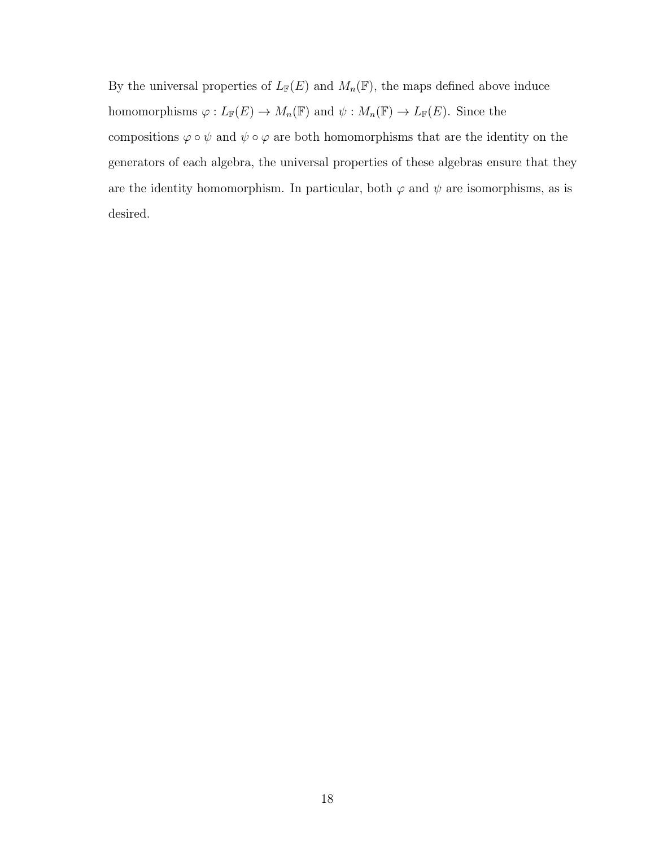By the universal properties of  $L_{\mathbb{F}}(E)$  and  $M_n(\mathbb{F})$ , the maps defined above induce homomorphisms  $\varphi: L_{\mathbb{F}}(E) \to M_n(\mathbb{F})$  and  $\psi: M_n(\mathbb{F}) \to L_{\mathbb{F}}(E)$ . Since the compositions  $\varphi\circ\psi$  and  $\psi\circ\varphi$  are both homomorphisms that are the identity on the generators of each algebra, the universal properties of these algebras ensure that they are the identity homomorphism. In particular, both  $\varphi$  and  $\psi$  are isomorphisms, as is desired.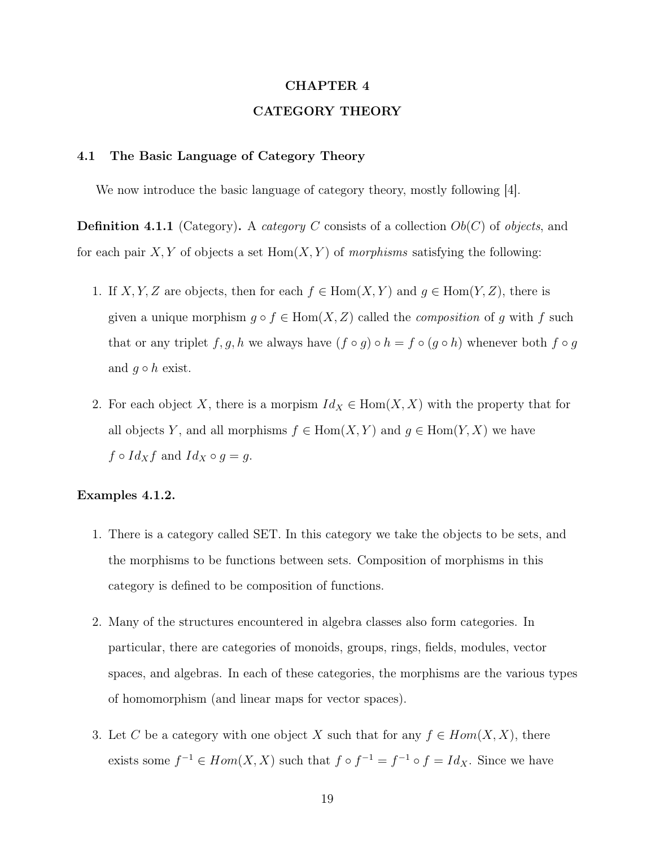# CHAPTER 4 CATEGORY THEORY

### 4.1 The Basic Language of Category Theory

We now introduce the basic language of category theory, mostly following [4].

**Definition 4.1.1** (Category). A *category C* consists of a collection  $Ob(C)$  of objects, and for each pair X, Y of objects a set  $Hom(X, Y)$  of morphisms satisfying the following:

- 1. If X, Y, Z are objects, then for each  $f \in \text{Hom}(X, Y)$  and  $g \in \text{Hom}(Y, Z)$ , there is given a unique morphism  $g \circ f \in \text{Hom}(X, Z)$  called the *composition* of g with f such that or any triplet  $f, g, h$  we always have  $(f \circ g) \circ h = f \circ (g \circ h)$  whenever both  $f \circ g$ and  $g \circ h$  exist.
- 2. For each object X, there is a morpism  $Id_X \in Hom(X, X)$  with the property that for all objects Y, and all morphisms  $f \in Hom(X, Y)$  and  $g \in Hom(Y, X)$  we have  $f \circ Id_X f$  and  $Id_X \circ g = g$ .

## Examples 4.1.2.

- 1. There is a category called SET. In this category we take the objects to be sets, and the morphisms to be functions between sets. Composition of morphisms in this category is defined to be composition of functions.
- 2. Many of the structures encountered in algebra classes also form categories. In particular, there are categories of monoids, groups, rings, fields, modules, vector spaces, and algebras. In each of these categories, the morphisms are the various types of homomorphism (and linear maps for vector spaces).
- 3. Let C be a category with one object X such that for any  $f \in Hom(X, X)$ , there exists some  $f^{-1} \in Hom(X, X)$  such that  $f \circ f^{-1} = f^{-1} \circ f = Id_X$ . Since we have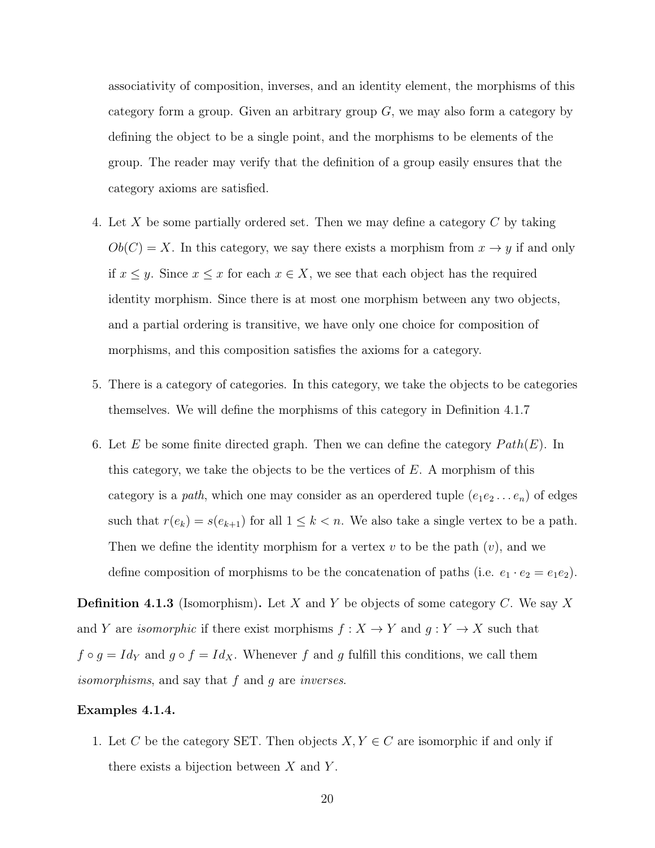associativity of composition, inverses, and an identity element, the morphisms of this category form a group. Given an arbitrary group  $G$ , we may also form a category by defining the object to be a single point, and the morphisms to be elements of the group. The reader may verify that the definition of a group easily ensures that the category axioms are satisfied.

- 4. Let X be some partially ordered set. Then we may define a category C by taking  $Ob(C) = X$ . In this category, we say there exists a morphism from  $x \to y$  if and only if  $x \leq y$ . Since  $x \leq x$  for each  $x \in X$ , we see that each object has the required identity morphism. Since there is at most one morphism between any two objects, and a partial ordering is transitive, we have only one choice for composition of morphisms, and this composition satisfies the axioms for a category.
- 5. There is a category of categories. In this category, we take the objects to be categories themselves. We will define the morphisms of this category in Definition 4.1.7
- 6. Let E be some finite directed graph. Then we can define the category  $Path(E)$ . In this category, we take the objects to be the vertices of  $E$ . A morphism of this category is a path, which one may consider as an operdered tuple  $(e_1e_2 \ldots e_n)$  of edges such that  $r(e_k) = s(e_{k+1})$  for all  $1 \leq k < n$ . We also take a single vertex to be a path. Then we define the identity morphism for a vertex  $v$  to be the path  $(v)$ , and we define composition of morphisms to be the concatenation of paths (i.e.  $e_1 \cdot e_2 = e_1 e_2$ ).

**Definition 4.1.3** (Isomorphism). Let X and Y be objects of some category C. We say X and Y are *isomorphic* if there exist morphisms  $f : X \to Y$  and  $g : Y \to X$  such that  $f \circ g = Id_Y$  and  $g \circ f = Id_X$ . Whenever f and g fulfill this conditions, we call them isomorphisms, and say that f and g are inverses.

### Examples 4.1.4.

1. Let C be the category SET. Then objects  $X, Y \in C$  are isomorphic if and only if there exists a bijection between  $X$  and  $Y$ .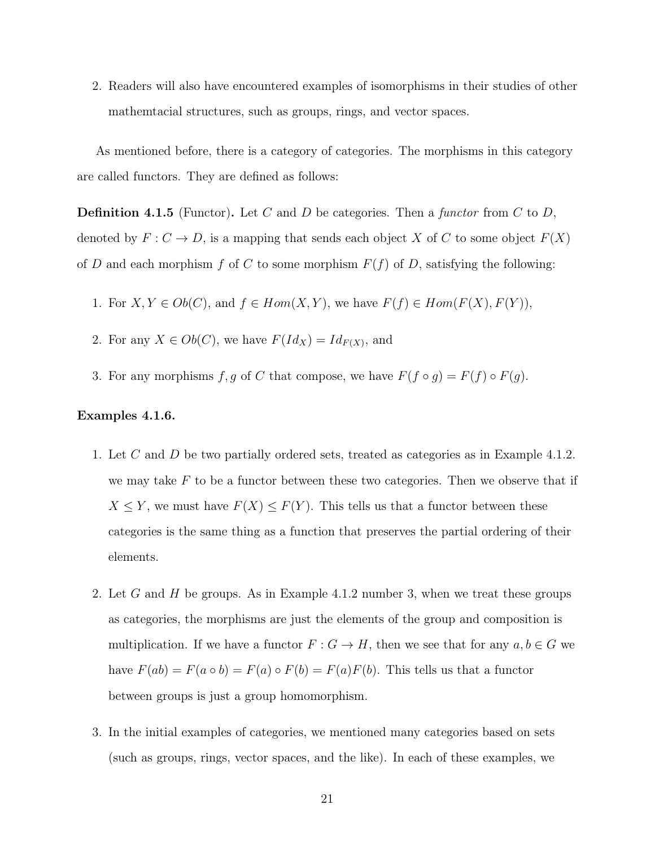2. Readers will also have encountered examples of isomorphisms in their studies of other mathemtacial structures, such as groups, rings, and vector spaces.

As mentioned before, there is a category of categories. The morphisms in this category are called functors. They are defined as follows:

**Definition 4.1.5** (Functor). Let C and D be categories. Then a functor from C to D, denoted by  $F: C \to D$ , is a mapping that sends each object X of C to some object  $F(X)$ of D and each morphism f of C to some morphism  $F(f)$  of D, satisfying the following:

- 1. For  $X, Y \in Ob(C)$ , and  $f \in Hom(X, Y)$ , we have  $F(f) \in Hom(F(X), F(Y))$ ,
- 2. For any  $X \in Ob(C)$ , we have  $F(Id_X) = Id_{F(X)}$ , and
- 3. For any morphisms f, g of C that compose, we have  $F(f \circ g) = F(f) \circ F(g)$ .

## Examples 4.1.6.

- 1. Let C and D be two partially ordered sets, treated as categories as in Example 4.1.2. we may take  $F$  to be a functor between these two categories. Then we observe that if  $X \leq Y$ , we must have  $F(X) \leq F(Y)$ . This tells us that a functor between these categories is the same thing as a function that preserves the partial ordering of their elements.
- 2. Let G and H be groups. As in Example 4.1.2 number 3, when we treat these groups as categories, the morphisms are just the elements of the group and composition is multiplication. If we have a functor  $F: G \to H$ , then we see that for any  $a, b \in G$  we have  $F(ab) = F(a \circ b) = F(a) \circ F(b) = F(a)F(b)$ . This tells us that a functor between groups is just a group homomorphism.
- 3. In the initial examples of categories, we mentioned many categories based on sets (such as groups, rings, vector spaces, and the like). In each of these examples, we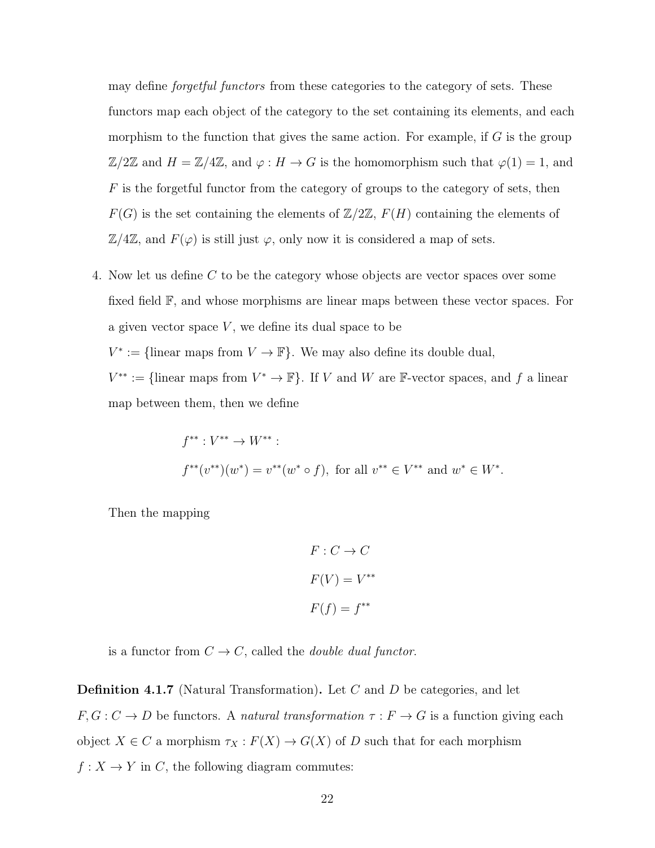may define *forgetful functors* from these categories to the category of sets. These functors map each object of the category to the set containing its elements, and each morphism to the function that gives the same action. For example, if  $G$  is the group  $\mathbb{Z}/2\mathbb{Z}$  and  $H = \mathbb{Z}/4\mathbb{Z}$ , and  $\varphi : H \to G$  is the homomorphism such that  $\varphi(1) = 1$ , and  $F$  is the forgetful functor from the category of groups to the category of sets, then  $F(G)$  is the set containing the elements of  $\mathbb{Z}/2\mathbb{Z}$ ,  $F(H)$  containing the elements of  $\mathbb{Z}/4\mathbb{Z}$ , and  $F(\varphi)$  is still just  $\varphi$ , only now it is considered a map of sets.

4. Now let us define C to be the category whose objects are vector spaces over some fixed field F, and whose morphisms are linear maps between these vector spaces. For a given vector space  $V$ , we define its dual space to be  $V^* := \{\text{linear maps from } V \to \mathbb{F}\}.$  We may also define its double dual,  $V^{**} := \{\text{linear maps from } V^* \to \mathbb{F}\}.$  If V and W are F-vector spaces, and f a linear map between them, then we define

$$
f^{**}: V^{**} \to W^{**}:
$$
  

$$
f^{**}(v^{**})(w^*) = v^{**}(w^* \circ f), \text{ for all } v^{**} \in V^{**} \text{ and } w^* \in W^*.
$$

Then the mapping

$$
F: C \to C
$$

$$
F(V) = V^{**}
$$

$$
F(f) = f^{**}
$$

is a functor from  $C \to C$ , called the *double dual functor*.

Definition 4.1.7 (Natural Transformation). Let C and D be categories, and let  $F, G: C \to D$  be functors. A *natural transformation*  $\tau: F \to G$  is a function giving each object  $X \in C$  a morphism  $\tau_X : F(X) \to G(X)$  of D such that for each morphism  $f: X \to Y$  in C, the following diagram commutes: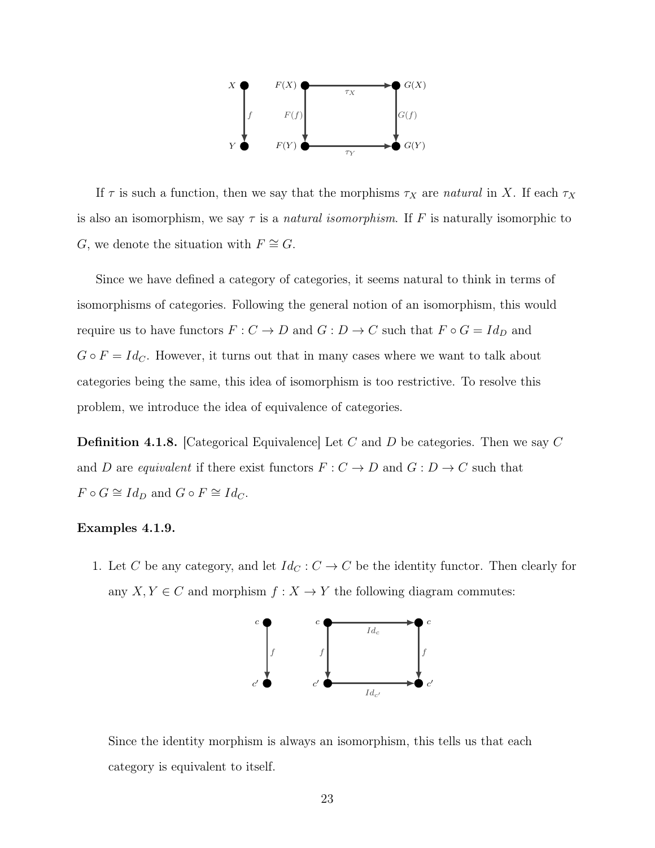

If  $\tau$  is such a function, then we say that the morphisms  $\tau_X$  are natural in X. If each  $\tau_X$ is also an isomorphism, we say  $\tau$  is a *natural isomorphism*. If F is naturally isomorphic to G, we denote the situation with  $F \cong G$ .

Since we have defined a category of categories, it seems natural to think in terms of isomorphisms of categories. Following the general notion of an isomorphism, this would require us to have functors  $F: C \to D$  and  $G: D \to C$  such that  $F \circ G = Id_D$  and  $G \circ F = Id_C$ . However, it turns out that in many cases where we want to talk about categories being the same, this idea of isomorphism is too restrictive. To resolve this problem, we introduce the idea of equivalence of categories.

**Definition 4.1.8.** [Categorical Equivalence] Let C and D be categories. Then we say C and D are equivalent if there exist functors  $F: C \to D$  and  $G: D \to C$  such that  $F \circ G \cong Id_D$  and  $G \circ F \cong Id_C$ .

### Examples 4.1.9.

1. Let C be any category, and let  $Id_C : C \to C$  be the identity functor. Then clearly for any  $X, Y \in C$  and morphism  $f: X \to Y$  the following diagram commutes:



Since the identity morphism is always an isomorphism, this tells us that each category is equivalent to itself.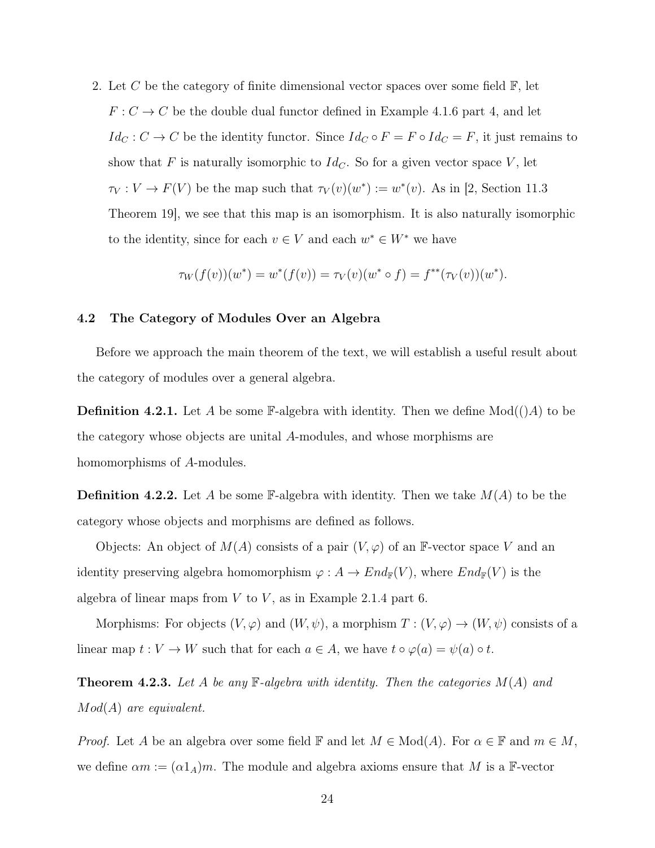2. Let C be the category of finite dimensional vector spaces over some field  $\mathbb{F}$ , let  $F: C \to C$  be the double dual functor defined in Example 4.1.6 part 4, and let  $Id_C : C \to C$  be the identity functor. Since  $Id_C \circ F = F \circ Id_C = F$ , it just remains to show that F is naturally isomorphic to  $Id_C$ . So for a given vector space V, let  $\tau_V: V \to F(V)$  be the map such that  $\tau_V(v)(w^*) := w^*(v)$ . As in [2, Section 11.3] Theorem 19], we see that this map is an isomorphism. It is also naturally isomorphic to the identity, since for each  $v \in V$  and each  $w^* \in W^*$  we have

$$
\tau_W(f(v))(w^*) = w^*(f(v)) = \tau_V(v)(w^* \circ f) = f^{**}(\tau_V(v))(w^*).
$$

#### 4.2 The Category of Modules Over an Algebra

Before we approach the main theorem of the text, we will establish a useful result about the category of modules over a general algebra.

**Definition 4.2.1.** Let A be some  $\mathbb{F}-$ -algebra with identity. Then we define  $Mod(()A)$  to be the category whose objects are unital A-modules, and whose morphisms are homomorphisms of A-modules.

**Definition 4.2.2.** Let A be some  $\mathbb{F}\text{-algebra with identity.}$  Then we take  $M(A)$  to be the category whose objects and morphisms are defined as follows.

Objects: An object of  $M(A)$  consists of a pair  $(V, \varphi)$  of an F-vector space V and an identity preserving algebra homomorphism  $\varphi: A \to End_{\mathbb{F}}(V)$ , where  $End_{\mathbb{F}}(V)$  is the algebra of linear maps from  $V$  to  $V$ , as in Example 2.1.4 part 6.

Morphisms: For objects  $(V, \varphi)$  and  $(W, \psi)$ , a morphism  $T : (V, \varphi) \to (W, \psi)$  consists of a linear map  $t: V \to W$  such that for each  $a \in A$ , we have  $t \circ \varphi(a) = \psi(a) \circ t$ .

**Theorem 4.2.3.** Let A be any  $\mathbb{F}-algebra$  with identity. Then the categories  $M(A)$  and Mod(A) are equivalent.

*Proof.* Let A be an algebra over some field  $\mathbb F$  and let  $M \in Mod(A)$ . For  $\alpha \in \mathbb F$  and  $m \in M$ , we define  $\alpha m := (\alpha 1_A)m$ . The module and algebra axioms ensure that M is a F-vector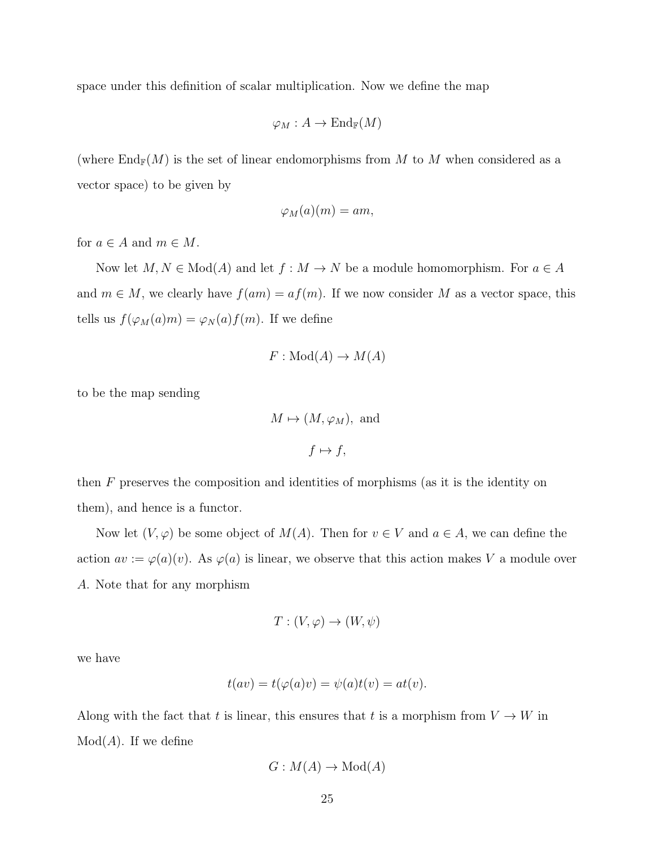space under this definition of scalar multiplication. Now we define the map

$$
\varphi_M:A\to\operatorname{End}_{\Bbb F}(M)
$$

(where  $\text{End}_{\mathbb{F}}(M)$  is the set of linear endomorphisms from M to M when considered as a vector space) to be given by

$$
\varphi_M(a)(m) = am,
$$

for  $a \in A$  and  $m \in M$ .

Now let  $M, N \in Mod(A)$  and let  $f : M \to N$  be a module homomorphism. For  $a \in A$ and  $m \in M$ , we clearly have  $f(am) = af(m)$ . If we now consider M as a vector space, this tells us  $f(\varphi_M(a)m) = \varphi_N(a)f(m)$ . If we define

$$
F: Mod(A) \to M(A)
$$

to be the map sending

$$
M \mapsto (M, \varphi_M), \text{ and}
$$
  

$$
f \mapsto f,
$$

then F preserves the composition and identities of morphisms (as it is the identity on them), and hence is a functor.

Now let  $(V, \varphi)$  be some object of  $M(A)$ . Then for  $v \in V$  and  $a \in A$ , we can define the action  $av := \varphi(a)(v)$ . As  $\varphi(a)$  is linear, we observe that this action makes V a module over A. Note that for any morphism

$$
T: (V, \varphi) \to (W, \psi)
$$

we have

$$
t(av) = t(\varphi(a)v) = \psi(a)t(v) = at(v).
$$

Along with the fact that t is linear, this ensures that t is a morphism from  $V \to W$  in  $Mod(A)$ . If we define

$$
G: M(A) \to \text{Mod}(A)
$$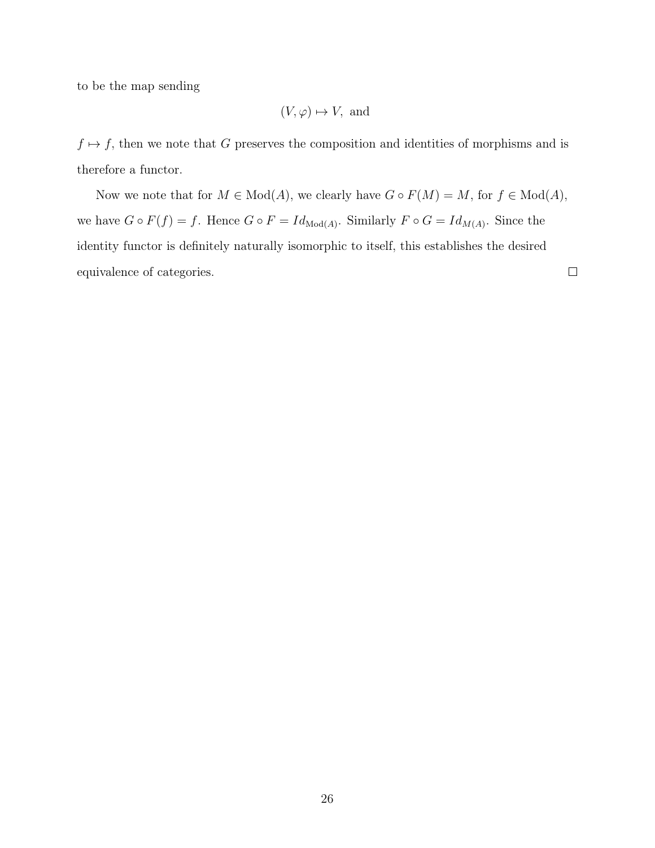to be the map sending

$$
(V, \varphi) \mapsto V
$$
, and

 $f \mapsto f$ , then we note that G preserves the composition and identities of morphisms and is therefore a functor.

Now we note that for  $M \in Mod(A)$ , we clearly have  $G \circ F(M) = M$ , for  $f \in Mod(A)$ , we have  $G \circ F(f) = f$ . Hence  $G \circ F = Id_{\text{Mod}(A)}$ . Similarly  $F \circ G = Id_{M(A)}$ . Since the identity functor is definitely naturally isomorphic to itself, this establishes the desired equivalence of categories.

 $\Box$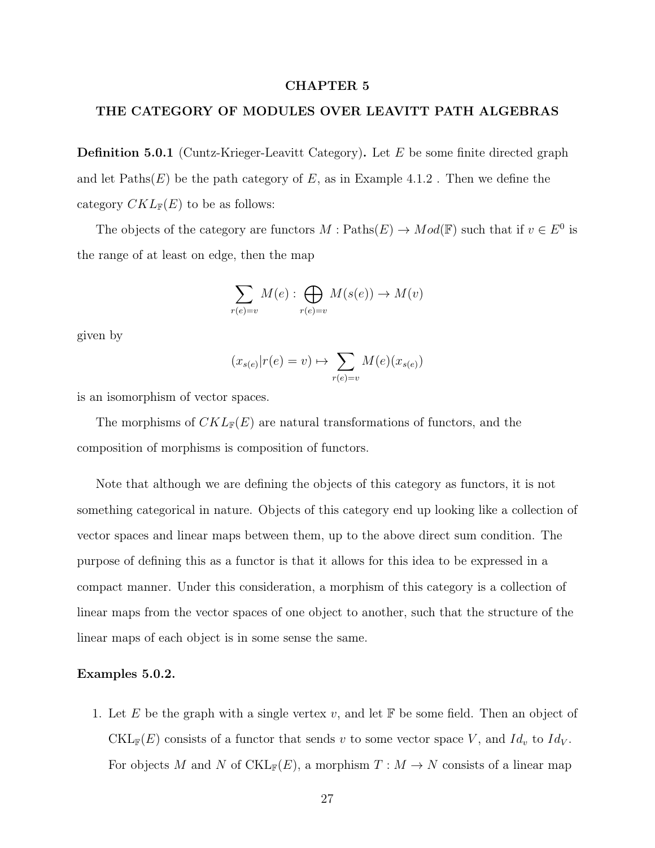#### CHAPTER 5

## THE CATEGORY OF MODULES OVER LEAVITT PATH ALGEBRAS

**Definition 5.0.1** (Cuntz-Krieger-Leavitt Category). Let  $E$  be some finite directed graph and let  $\text{Paths}(E)$  be the path category of E, as in Example 4.1.2. Then we define the category  $CKL_{\mathbb{F}}(E)$  to be as follows:

The objects of the category are functors  $M: \text{Paths}(E) \to Mod(\mathbb{F})$  such that if  $v \in E^0$  is the range of at least on edge, then the map

$$
\sum_{r(e)=v} M(e) : \bigoplus_{r(e)=v} M(s(e)) \to M(v)
$$

given by

$$
(x_{s(e)}|r(e) = v) \mapsto \sum_{r(e)=v} M(e)(x_{s(e)})
$$

is an isomorphism of vector spaces.

The morphisms of  $CKL_{\mathbb{F}}(E)$  are natural transformations of functors, and the composition of morphisms is composition of functors.

Note that although we are defining the objects of this category as functors, it is not something categorical in nature. Objects of this category end up looking like a collection of vector spaces and linear maps between them, up to the above direct sum condition. The purpose of defining this as a functor is that it allows for this idea to be expressed in a compact manner. Under this consideration, a morphism of this category is a collection of linear maps from the vector spaces of one object to another, such that the structure of the linear maps of each object is in some sense the same.

### Examples 5.0.2.

1. Let E be the graph with a single vertex v, and let  $\mathbb F$  be some field. Then an object of  $\mathrm{CKL}_{\mathbb{F}}(E)$  consists of a functor that sends v to some vector space V, and  $Id_v$  to  $Id_V$ . For objects M and N of  $\mathrm{CKL}_{\mathbb{F}}(E)$ , a morphism  $T : M \to N$  consists of a linear map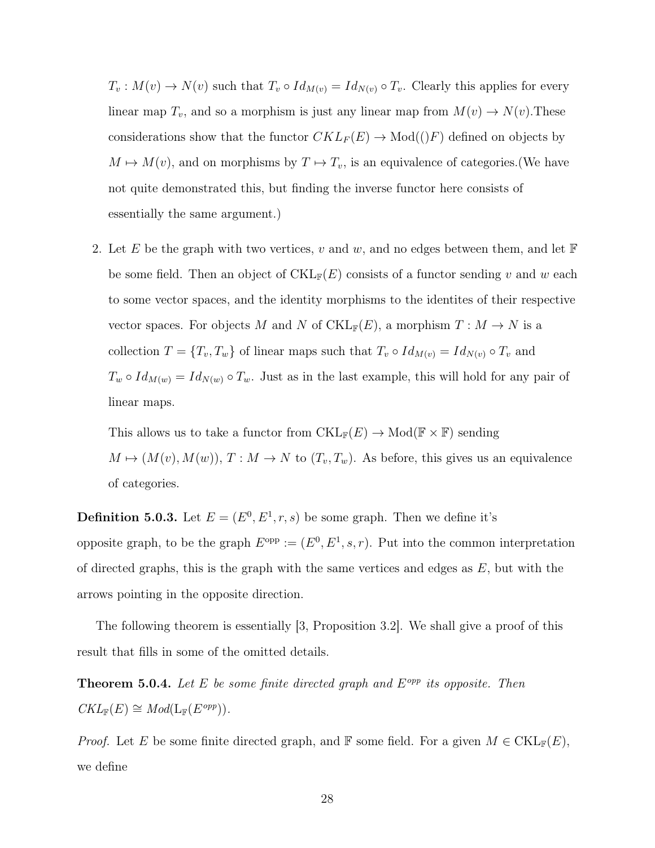$T_v: M(v) \to N(v)$  such that  $T_v \circ Id_{M(v)} = Id_{N(v)} \circ T_v$ . Clearly this applies for every linear map  $T_v$ , and so a morphism is just any linear map from  $M(v) \to N(v)$ . These considerations show that the functor  $CKL_F(E) \rightarrow Mod((F)$  defined on objects by  $M \mapsto M(v)$ , and on morphisms by  $T \mapsto T_v$ , is an equivalence of categories.(We have not quite demonstrated this, but finding the inverse functor here consists of essentially the same argument.)

2. Let E be the graph with two vertices, v and w, and no edges between them, and let  $\mathbb F$ be some field. Then an object of  $\mathrm{CKL}_\mathbb{F}(E)$  consists of a functor sending v and w each to some vector spaces, and the identity morphisms to the identites of their respective vector spaces. For objects M and N of CKL<sub>F</sub>(E), a morphism  $T : M \to N$  is a collection  $T = \{T_v, T_w\}$  of linear maps such that  $T_v \circ Id_{M(v)} = Id_{N(v)} \circ T_v$  and  $T_w \circ Id_{M(w)} = Id_{N(w)} \circ T_w$ . Just as in the last example, this will hold for any pair of linear maps.

This allows us to take a functor from  $\mathrm{CKL}_{\mathbb{F}}(E) \to \mathrm{Mod}(\mathbb{F} \times \mathbb{F})$  sending  $M \mapsto (M(v), M(w)),$   $T : M \to N$  to  $(T_v, T_w)$ . As before, this gives us an equivalence of categories.

**Definition 5.0.3.** Let  $E = (E^0, E^1, r, s)$  be some graph. Then we define it's opposite graph, to be the graph  $E^{\text{opp}} := (E^0, E^1, s, r)$ . Put into the common interpretation of directed graphs, this is the graph with the same vertices and edges as  $E$ , but with the arrows pointing in the opposite direction.

The following theorem is essentially [3, Proposition 3.2]. We shall give a proof of this result that fills in some of the omitted details.

**Theorem 5.0.4.** Let E be some finite directed graph and  $E^{opp}$  its opposite. Then  $CKL_{\mathbb{F}}(E) \cong Mod(\mathop{\rm L}\nolimits_{\mathbb{F}}(E^{opp}))$ .

*Proof.* Let E be some finite directed graph, and F some field. For a given  $M \in \text{CKL}_{\mathbb{F}}(E)$ , we define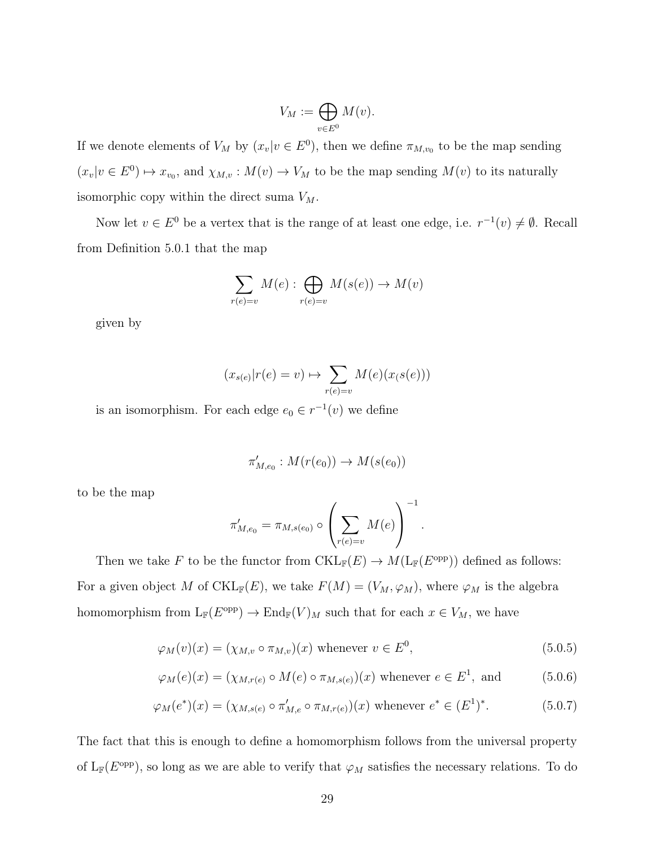$$
V_M := \bigoplus_{v \in E^0} M(v).
$$

If we denote elements of  $V_M$  by  $(x_v|v \in E^0)$ , then we define  $\pi_{M,v_0}$  to be the map sending  $(x_v|v \in E^0) \mapsto x_{v_0}$ , and  $\chi_{M,v}: M(v) \to V_M$  to be the map sending  $M(v)$  to its naturally isomorphic copy within the direct suma  $V_M$ .

Now let  $v \in E^0$  be a vertex that is the range of at least one edge, i.e.  $r^{-1}(v) \neq \emptyset$ . Recall from Definition 5.0.1 that the map

$$
\sum_{r(e)=v} M(e) : \bigoplus_{r(e)=v} M(s(e)) \to M(v)
$$

given by

$$
(x_{s(e)}|r(e) = v) \mapsto \sum_{r(e)=v} M(e)(x(s(e)))
$$

is an isomorphism. For each edge  $e_0 \in r^{-1}(v)$  we define

$$
\pi'_{M,e_0}: M(r(e_0)) \to M(s(e_0))
$$

to be the map

$$
\pi'_{M,e_0} = \pi_{M,s(e_0)} \circ \left(\sum_{r(e)=v} M(e)\right)^{-1}.
$$

Then we take F to be the functor from  $\mathrm{CKL}_{\mathbb{F}}(E) \to M(\mathrm{L}_{\mathbb{F}}(E^{\mathrm{opp}}))$  defined as follows: For a given object M of CKL<sub>F</sub>(E), we take  $F(M) = (V_M, \varphi_M)$ , where  $\varphi_M$  is the algebra homomorphism from  $L_{\mathbb{F}}(E^{\text{opp}}) \to \text{End}_{\mathbb{F}}(V)_M$  such that for each  $x \in V_M$ , we have

$$
\varphi_M(v)(x) = (\chi_{M,v} \circ \pi_{M,v})(x) \text{ whenever } v \in E^0,
$$
\n(5.0.5)

$$
\varphi_M(e)(x) = (\chi_{M,r(e)} \circ M(e) \circ \pi_{M,s(e)})(x)
$$
 whenever  $e \in E^1$ , and (5.0.6)

$$
\varphi_M(e^*)(x) = (\chi_{M, s(e)} \circ \pi'_{M, e} \circ \pi_{M, r(e)})(x)
$$
 whenever  $e^* \in (E^1)^*$ . (5.0.7)

The fact that this is enough to define a homomorphism follows from the universal property of  $L_{\mathbb{F}}(E^{\text{opp}})$ , so long as we are able to verify that  $\varphi_M$  satisfies the necessary relations. To do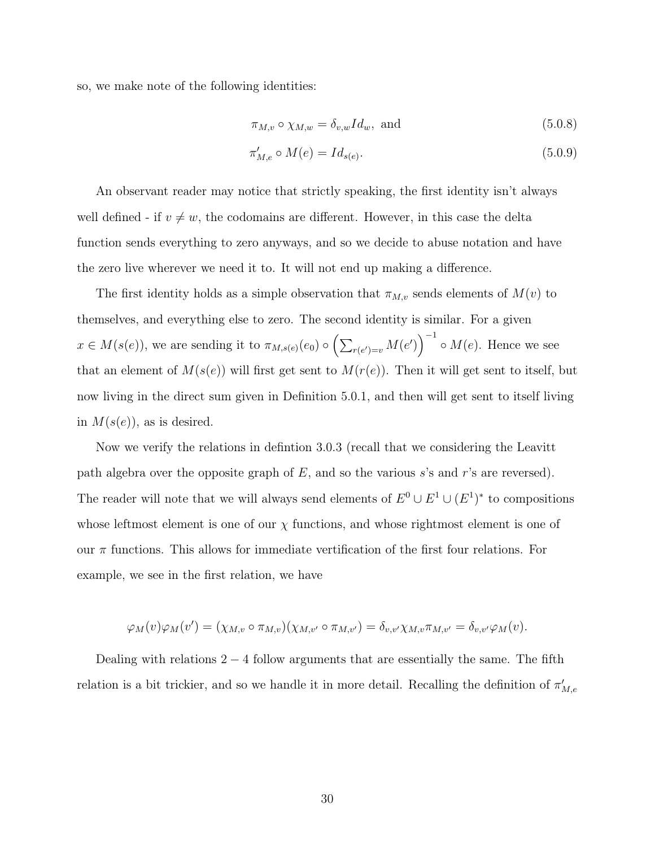so, we make note of the following identities:

$$
\pi_{M,v} \circ \chi_{M,w} = \delta_{v,w} I d_w, \text{ and}
$$
\n(5.0.8)

$$
\pi'_{M,e} \circ M(e) = Id_{s(e)}.
$$
\n(5.0.9)

An observant reader may notice that strictly speaking, the first identity isn't always well defined - if  $v \neq w$ , the codomains are different. However, in this case the delta function sends everything to zero anyways, and so we decide to abuse notation and have the zero live wherever we need it to. It will not end up making a difference.

The first identity holds as a simple observation that  $\pi_{M,v}$  sends elements of  $M(v)$  to themselves, and everything else to zero. The second identity is similar. For a given  $x \in M(s(e))$ , we are sending it to  $\pi_{M,s(e)}(e_0) \circ (\sum_{r(e')=v} M(e'))$ <sup>-1</sup>  $\circ M(e)$ . Hence we see that an element of  $M(s(e))$  will first get sent to  $M(r(e))$ . Then it will get sent to itself, but now living in the direct sum given in Definition 5.0.1, and then will get sent to itself living in  $M(s(e))$ , as is desired.

Now we verify the relations in defintion 3.0.3 (recall that we considering the Leavitt path algebra over the opposite graph of  $E$ , and so the various s's and r's are reversed). The reader will note that we will always send elements of  $E^0 \cup E^1 \cup (E^1)^*$  to compositions whose leftmost element is one of our  $\chi$  functions, and whose rightmost element is one of our  $\pi$  functions. This allows for immediate vertification of the first four relations. For example, we see in the first relation, we have

$$
\varphi_M(v)\varphi_M(v')=(\chi_{M,v}\circ\pi_{M,v})(\chi_{M,v'}\circ\pi_{M,v'})=\delta_{v,v'}\chi_{M,v}\pi_{M,v'}=\delta_{v,v'}\varphi_M(v).
$$

Dealing with relations  $2 - 4$  follow arguments that are essentially the same. The fifth relation is a bit trickier, and so we handle it in more detail. Recalling the definition of  $\pi'_{M,e}$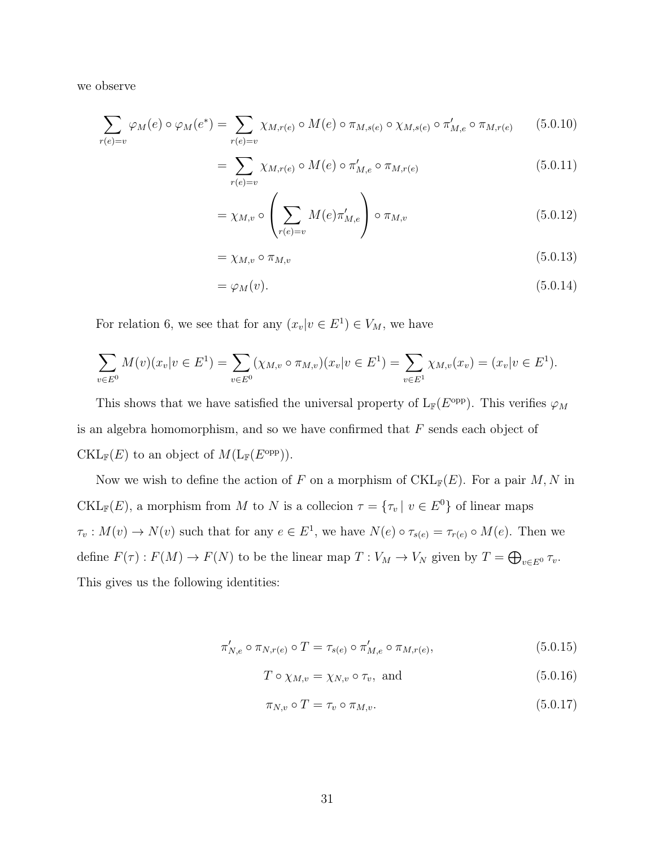we observe

$$
\sum_{r(e)=v} \varphi_M(e) \circ \varphi_M(e^*) = \sum_{r(e)=v} \chi_{M,r(e)} \circ M(e) \circ \pi_{M,s(e)} \circ \chi_{M,s(e)} \circ \pi'_{M,e} \circ \pi_{M,r(e)} \qquad (5.0.10)
$$

$$
= \sum_{r(e)=v} \chi_{M,r(e)} \circ M(e) \circ \pi'_{M,e} \circ \pi_{M,r(e)} \tag{5.0.11}
$$

$$
= \chi_{M,v} \circ \left(\sum_{r(e)=v} M(e)\pi'_{M,e}\right) \circ \pi_{M,v}
$$
\n(5.0.12)

$$
=\chi_{M,v}\circ\pi_{M,v}\tag{5.0.13}
$$

$$
= \varphi_M(v). \tag{5.0.14}
$$

For relation 6, we see that for any  $(x_v|v \in E^1) \in V_M$ , we have

$$
\sum_{v \in E^0} M(v)(x_v | v \in E^1) = \sum_{v \in E^0} (\chi_{M,v} \circ \pi_{M,v})(x_v | v \in E^1) = \sum_{v \in E^1} \chi_{M,v}(x_v) = (x_v | v \in E^1).
$$

This shows that we have satisfied the universal property of  $L_F(E^{\text{opp}})$ . This verifies  $\varphi_M$ is an algebra homomorphism, and so we have confirmed that F sends each object of  $\mathrm{CKL}_{\mathbb{F}}(E)$  to an object of  $M(\mathrm{L}_{\mathbb{F}}(E^{\mathrm{opp}})).$ 

Now we wish to define the action of F on a morphism of  $\mathrm{CKL}_{\mathbb{F}}(E)$ . For a pair M, N in CKL<sub>F</sub> $(E)$ , a morphism from M to N is a collecion  $\tau = {\tau_v | v \in E^0}$  of linear maps  $\tau_v: M(v) \to N(v)$  such that for any  $e \in E^1$ , we have  $N(e) \circ \tau_{s(e)} = \tau_{r(e)} \circ M(e)$ . Then we define  $F(\tau) : F(M) \to F(N)$  to be the linear map  $T : V_M \to V_N$  given by  $T = \bigoplus_{v \in E^0} \tau_v$ . This gives us the following identities:

$$
\pi'_{N,e} \circ \pi_{N,r(e)} \circ T = \tau_{s(e)} \circ \pi'_{M,e} \circ \pi_{M,r(e)},
$$
\n(5.0.15)

$$
T \circ \chi_{M,v} = \chi_{N,v} \circ \tau_v, \text{ and } \tag{5.0.16}
$$

$$
\pi_{N,v} \circ T = \tau_v \circ \pi_{M,v}.\tag{5.0.17}
$$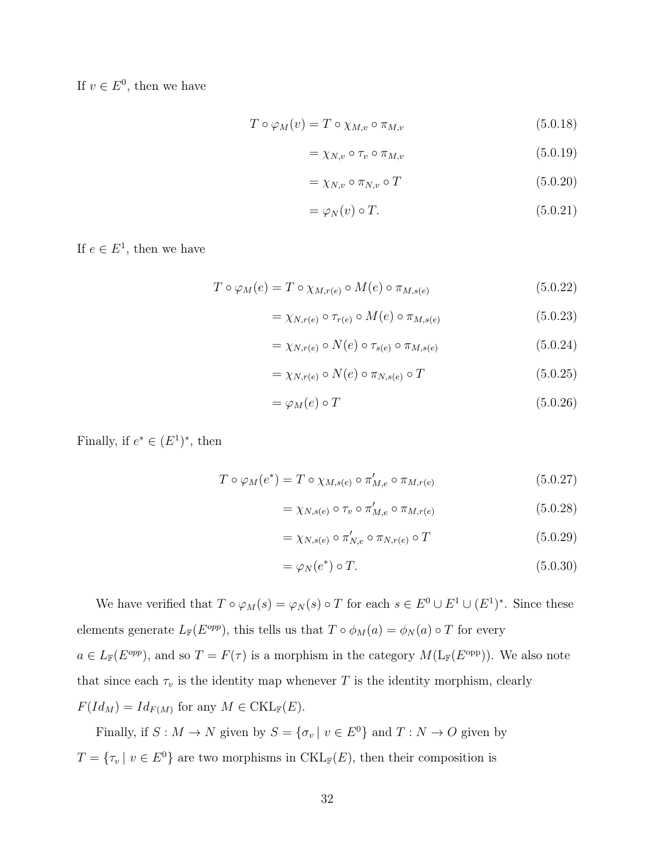If  $v \in E^0$ , then we have

$$
T \circ \varphi_M(v) = T \circ \chi_{M,v} \circ \pi_{M,v}
$$
\n
$$
(5.0.18)
$$

$$
=\chi_{N,v}\circ\tau_v\circ\pi_{M,v}\tag{5.0.19}
$$

$$
=\chi_{N,v}\circ\pi_{N,v}\circ T\tag{5.0.20}
$$

$$
= \varphi_N(v) \circ T. \tag{5.0.21}
$$

If  $e \in E^1$ , then we have

$$
T \circ \varphi_M(e) = T \circ \chi_{M,r(e)} \circ M(e) \circ \pi_{M,s(e)} \tag{5.0.22}
$$

$$
= \chi_{N,r(e)} \circ \tau_{r(e)} \circ M(e) \circ \pi_{M,s(e)} \tag{5.0.23}
$$

$$
= \chi_{N,r(e)} \circ N(e) \circ \tau_{s(e)} \circ \pi_{M,s(e)} \tag{5.0.24}
$$

$$
= \chi_{N,r(e)} \circ N(e) \circ \pi_{N,s(e)} \circ T \tag{5.0.25}
$$

$$
= \varphi_M(e) \circ T \tag{5.0.26}
$$

Finally, if  $e^* \in (E^1)^*$ , then

$$
T \circ \varphi_M(e^*) = T \circ \chi_{M, s(e)} \circ \pi'_{M, e} \circ \pi_{M, r(e)} \tag{5.0.27}
$$

$$
= \chi_{N,s(e)} \circ \tau_v \circ \pi'_{M,e} \circ \pi_{M,r(e)} \tag{5.0.28}
$$

$$
=\chi_{N,s(e)}\circ\pi'_{N,e}\circ\pi_{N,r(e)}\circ T\tag{5.0.29}
$$

$$
= \varphi_N(e^*) \circ T. \tag{5.0.30}
$$

We have verified that  $T \circ \varphi_M(s) = \varphi_N(s) \circ T$  for each  $s \in E^0 \cup E^1 \cup (E^1)^*$ . Since these elements generate  $L_{\mathbb{F}}(E^{opp})$ , this tells us that  $T \circ \phi_M(a) = \phi_N(a) \circ T$  for every  $a \in L_{\mathbb{F}}(E^{opp})$ , and so  $T = F(\tau)$  is a morphism in the category  $M(L_{\mathbb{F}}(E^{opp}))$ . We also note that since each  $\tau_v$  is the identity map whenever T is the identity morphism, clearly  $F(Id_M) = Id_{F(M)}$  for any  $M \in \mathrm{CKL}_{\mathbb{F}}(E)$ .

Finally, if  $S: M \to N$  given by  $S = {\sigma_v | v \in E^0}$  and  $T: N \to O$  given by  $T = \{ \tau_v \mid v \in E^0 \}$  are two morphisms in CKL<sub>F</sub>(E), then their composition is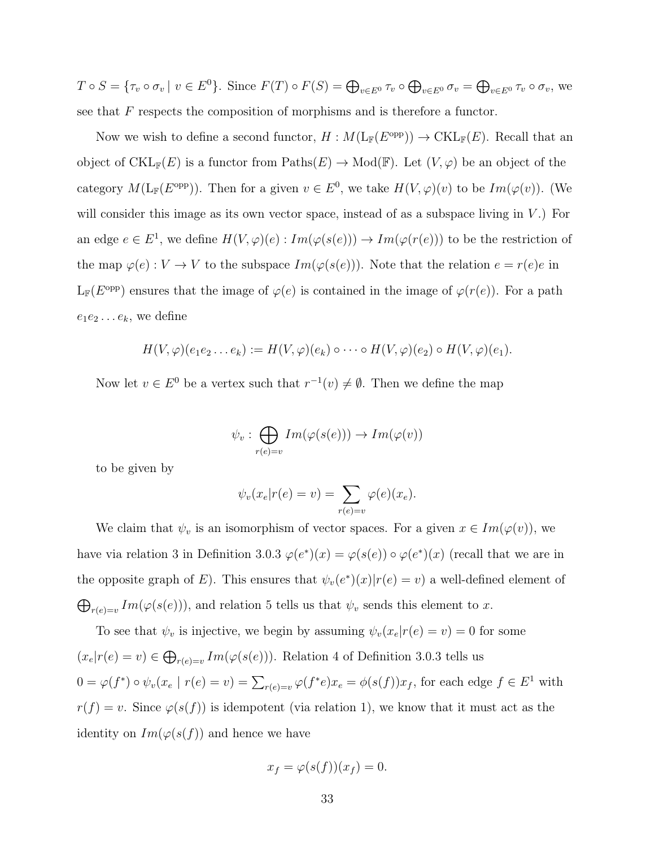$T \circ S = \{ \tau_v \circ \sigma_v \mid v \in E^0 \}.$  Since  $F(T) \circ F(S) = \bigoplus_{v \in E^0} \tau_v \circ \bigoplus_{v \in E^0} \sigma_v = \bigoplus_{v \in E^0} \tau_v \circ \sigma_v$ , we see that  $F$  respects the composition of morphisms and is therefore a functor.

Now we wish to define a second functor,  $H: M(\mathbb{L}_{\mathbb{F}}(E^{\text{opp}})) \to \text{CKL}_{\mathbb{F}}(E)$ . Recall that an object of  $\mathrm{CKL}_{\mathbb{F}}(E)$  is a functor from  $\mathrm{Paths}(E) \to \mathrm{Mod}(\mathbb{F})$ . Let  $(V, \varphi)$  be an object of the category  $M(L_{\mathbb{F}}(E^{\text{opp}}))$ . Then for a given  $v \in E^0$ , we take  $H(V,\varphi)(v)$  to be  $Im(\varphi(v))$ . (We will consider this image as its own vector space, instead of as a subspace living in  $V$ .) For an edge  $e \in E^1$ , we define  $H(V, \varphi)(e) : Im(\varphi(s(e))) \to Im(\varphi(r(e)))$  to be the restriction of the map  $\varphi(e): V \to V$  to the subspace  $Im(\varphi(s(e)))$ . Note that the relation  $e = r(e)e$  in  $L_F(E^{\text{opp}})$  ensures that the image of  $\varphi(e)$  is contained in the image of  $\varphi(r(e))$ . For a path  $e_1e_2 \ldots e_k$ , we define

$$
H(V,\varphi)(e_1e_2\ldots e_k):=H(V,\varphi)(e_k)\circ\cdots\circ H(V,\varphi)(e_2)\circ H(V,\varphi)(e_1).
$$

Now let  $v \in E^0$  be a vertex such that  $r^{-1}(v) \neq \emptyset$ . Then we define the map

$$
\psi_v : \bigoplus_{r(e)=v} Im(\varphi(s(e))) \to Im(\varphi(v))
$$

to be given by

$$
\psi_v(x_e|r(e) = v) = \sum_{r(e) = v} \varphi(e)(x_e).
$$

We claim that  $\psi_v$  is an isomorphism of vector spaces. For a given  $x \in Im(\varphi(v))$ , we have via relation 3 in Definition 3.0.3  $\varphi(e^*)(x) = \varphi(s(e)) \circ \varphi(e^*)(x)$  (recall that we are in the opposite graph of E). This ensures that  $\psi_v(e^*)(x)|r(e) = v$  a well-defined element of  $\bigoplus_{r(e)=v} Im(\varphi(s(e))),$  and relation 5 tells us that  $\psi_v$  sends this element to x.

To see that  $\psi_v$  is injective, we begin by assuming  $\psi_v(x_e|r(e) = v) = 0$  for some  $(x_e|r(e) = v) \in \bigoplus_{r(e) = v} Im(\varphi(s(e)))$ . Relation 4 of Definition 3.0.3 tells us  $0 = \varphi(f^*) \circ \psi_v(x_e \mid r(e) = v) = \sum_{r(e)=v} \varphi(f^*e)x_e = \phi(s(f))x_f$ , for each edge  $f \in E^1$  with  $r(f) = v$ . Since  $\varphi(s(f))$  is idempotent (via relation 1), we know that it must act as the identity on  $Im(\varphi(s(f))$  and hence we have

$$
x_f = \varphi(s(f))(x_f) = 0.
$$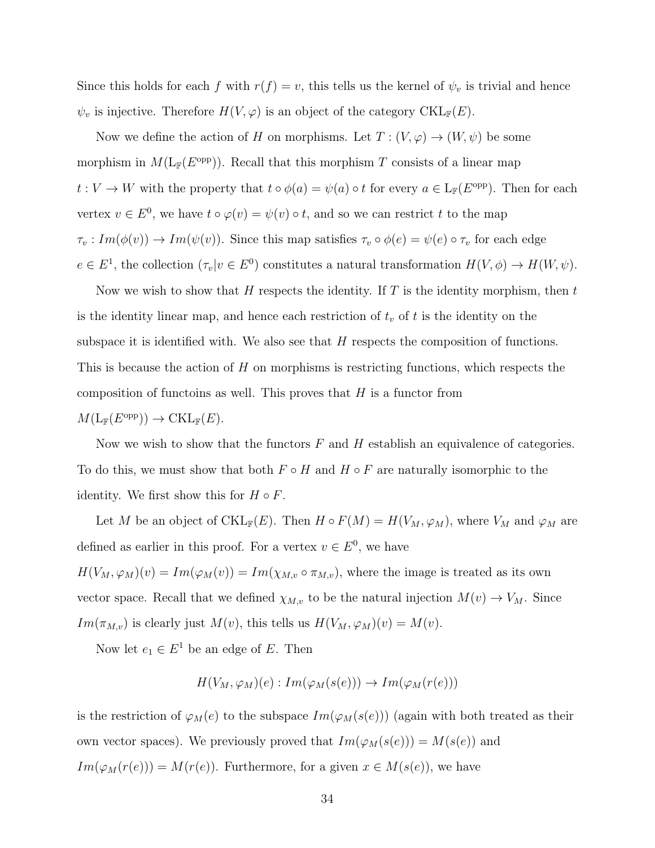Since this holds for each f with  $r(f) = v$ , this tells us the kernel of  $\psi_v$  is trivial and hence  $\psi_v$  is injective. Therefore  $H(V, \varphi)$  is an object of the category  $\mathrm{CKL}_{\mathbb{F}}(E)$ .

Now we define the action of H on morphisms. Let  $T : (V, \varphi) \to (W, \psi)$  be some morphism in  $M(L_{\mathbb{F}}(E^{\text{opp}}))$ . Recall that this morphism T consists of a linear map  $t: V \to W$  with the property that  $t \circ \phi(a) = \psi(a) \circ t$  for every  $a \in L_{\mathbb{F}}(E^{\text{opp}})$ . Then for each vertex  $v \in E^0$ , we have  $t \circ \varphi(v) = \psi(v) \circ t$ , and so we can restrict t to the map  $\tau_v : Im(\phi(v)) \to Im(\psi(v))$ . Since this map satisfies  $\tau_v \circ \phi(e) = \psi(e) \circ \tau_v$  for each edge  $e \in E^1$ , the collection  $(\tau_v | v \in E^0)$  constitutes a natural transformation  $H(V, \phi) \to H(W, \psi)$ .

Now we wish to show that H respects the identity. If T is the identity morphism, then t is the identity linear map, and hence each restriction of  $t_v$  of t is the identity on the subspace it is identified with. We also see that  $H$  respects the composition of functions. This is because the action of H on morphisms is restricting functions, which respects the composition of functoins as well. This proves that  $H$  is a functor from  $M(L_{\mathbb{F}}(E^{\text{opp}})) \to \text{CKL}_{\mathbb{F}}(E).$ 

Now we wish to show that the functors  $F$  and  $H$  establish an equivalence of categories. To do this, we must show that both  $F \circ H$  and  $H \circ F$  are naturally isomorphic to the identity. We first show this for  $H \circ F$ .

Let M be an object of CKL<sub>F</sub>(E). Then  $H \circ F(M) = H(V_M, \varphi_M)$ , where  $V_M$  and  $\varphi_M$  are defined as earlier in this proof. For a vertex  $v \in E^0$ , we have  $H(V_M, \varphi_M)(v) = Im(\varphi_M(v)) = Im(\chi_{M,v} \circ \pi_{M,v}),$  where the image is treated as its own vector space. Recall that we defined  $\chi_{M,v}$  to be the natural injection  $M(v) \to V_M$ . Since  $Im(\pi_{M,v})$  is clearly just  $M(v)$ , this tells us  $H(V_M, \varphi_M)(v) = M(v)$ .

Now let  $e_1 \in E^1$  be an edge of E. Then

$$
H(V_M, \varphi_M)(e) : Im(\varphi_M(s(e))) \to Im(\varphi_M(r(e)))
$$

is the restriction of  $\varphi_M(e)$  to the subspace  $Im(\varphi_M(s(e)))$  (again with both treated as their own vector spaces). We previously proved that  $Im(\varphi_M(s(e))) = M(s(e))$  and  $Im(\varphi_M(r(e))) = M(r(e))$ . Furthermore, for a given  $x \in M(s(e))$ , we have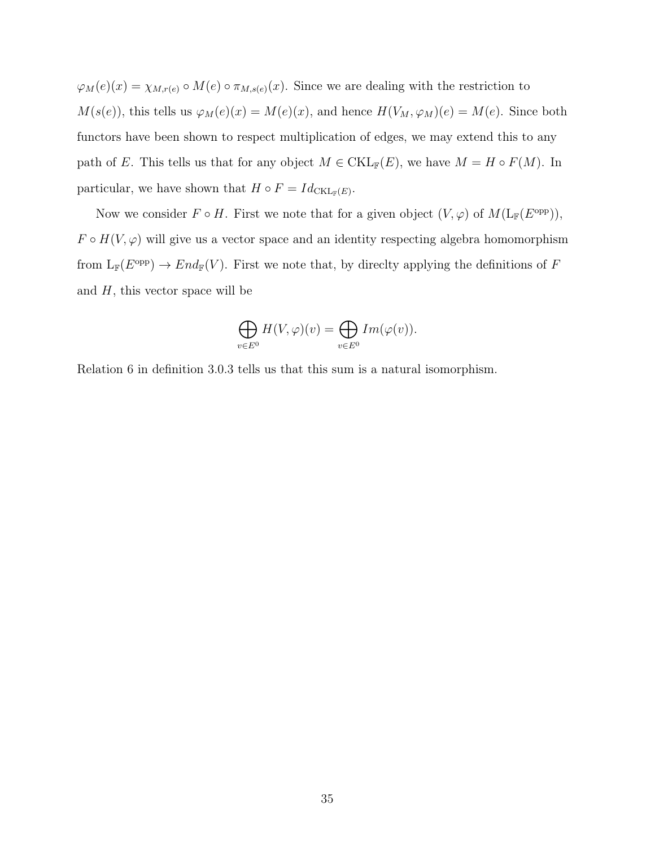$\varphi_M(e)(x) = \chi_{M,r(e)} \circ M(e) \circ \pi_{M,s(e)}(x)$ . Since we are dealing with the restriction to  $M(s(e))$ , this tells us  $\varphi_M(e)(x) = M(e)(x)$ , and hence  $H(V_M, \varphi_M)(e) = M(e)$ . Since both functors have been shown to respect multiplication of edges, we may extend this to any path of E. This tells us that for any object  $M \in \mathrm{CKL}_{\mathbb{F}}(E)$ , we have  $M = H \circ F(M)$ . In particular, we have shown that  $H \circ F = Id_{\text{CKL}_{\mathbb{F}}(E)}$ .

Now we consider  $F \circ H$ . First we note that for a given object  $(V, \varphi)$  of  $M(L_{\mathbb{F}}(E^{\text{opp}})),$  $F \circ H(V, \varphi)$  will give us a vector space and an identity respecting algebra homomorphism from  $L_{\mathbb{F}}(E^{\text{opp}}) \to End_{\mathbb{F}}(V)$ . First we note that, by directly applying the definitions of F and  $H$ , this vector space will be

$$
\bigoplus_{v\in E^0}H(V,\varphi)(v)=\bigoplus_{v\in E^0}Im(\varphi(v)).
$$

Relation 6 in definition 3.0.3 tells us that this sum is a natural isomorphism.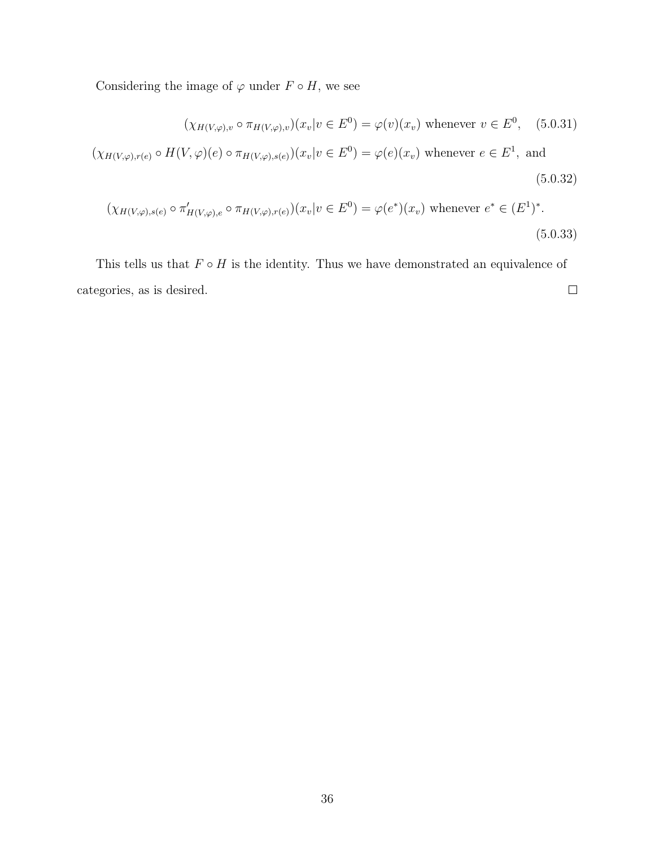Considering the image of  $\varphi$  under  $F \circ H$ , we see

$$
(\chi_{H(V,\varphi),v} \circ \pi_{H(V,\varphi),v})(x_v|v \in E^0) = \varphi(v)(x_v) \text{ whenever } v \in E^0, \quad (5.0.31)
$$

$$
(\chi_{H(V,\varphi),r(e)} \circ H(V,\varphi)(e) \circ \pi_{H(V,\varphi),s(e)}) (x_v|v \in E^0) = \varphi(e)(x_v) \text{ whenever } e \in E^1, \text{ and}
$$
\n
$$
(5.0.32)
$$

$$
(\chi_{H(V,\varphi),s(e)} \circ \pi'_{H(V,\varphi),e} \circ \pi_{H(V,\varphi),r(e)}) (x_v|v \in E^0) = \varphi(e^*)(x_v) \text{ whenever } e^* \in (E^1)^*.
$$
\n
$$
(5.0.33)
$$

This tells us that  $F \circ H$  is the identity. Thus we have demonstrated an equivalence of categories, as is desired.  $\Box$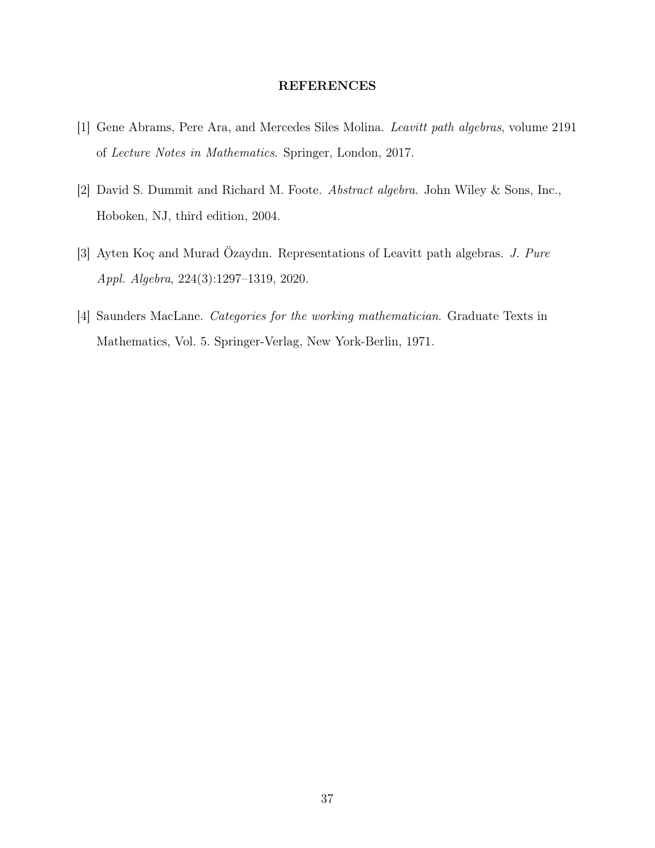### REFERENCES

- [1] Gene Abrams, Pere Ara, and Mercedes Siles Molina. Leavitt path algebras, volume 2191 of Lecture Notes in Mathematics. Springer, London, 2017.
- [2] David S. Dummit and Richard M. Foote. Abstract algebra. John Wiley & Sons, Inc., Hoboken, NJ, third edition, 2004.
- [3] Ayten Koç and Murad Özaydın. Representations of Leavitt path algebras. J. Pure Appl. Algebra, 224(3):1297–1319, 2020.
- [4] Saunders MacLane. Categories for the working mathematician. Graduate Texts in Mathematics, Vol. 5. Springer-Verlag, New York-Berlin, 1971.